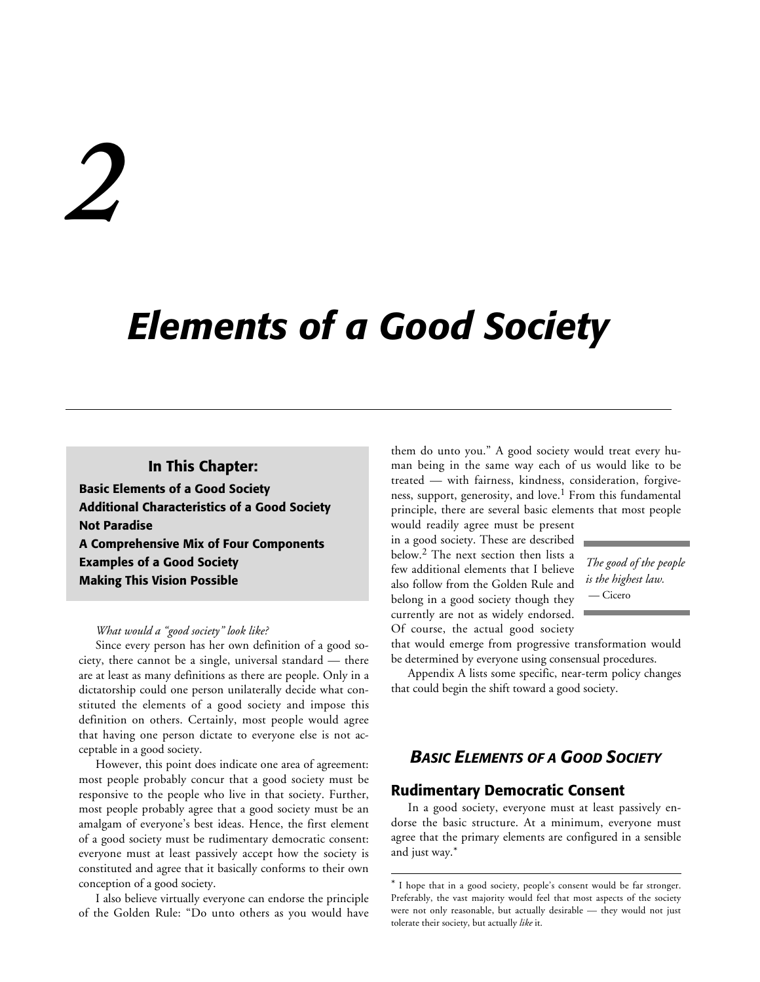# *2*

# *Elements of a Good Society*

#### **In This Chapter:**

**Basic Elements of a Good Society Additional Characteristics of a Good Society Not Paradise A Comprehensive Mix of Four Components Examples of a Good Society Making This Vision Possible**

#### *What would a "good society" look like?*

Since every person has her own definition of a good society, there cannot be a single, universal standard — there are at least as many definitions as there are people. Only in a dictatorship could one person unilaterally decide what constituted the elements of a good society and impose this definition on others. Certainly, most people would agree that having one person dictate to everyone else is not acceptable in a good society.

However, this point does indicate one area of agreement: most people probably concur that a good society must be responsive to the people who live in that society. Further, most people probably agree that a good society must be an amalgam of everyone's best ideas. Hence, the first element of a good society must be rudimentary democratic consent: everyone must at least passively accept how the society is constituted and agree that it basically conforms to their own conception of a good society.

I also believe virtually everyone can endorse the principle of the Golden Rule: "Do unto others as you would have

them do unto you." A good society would treat every human being in the same way each of us would like to be treated — with fairness, kindness, consideration, forgiveness, support, generosity, and love.<sup>1</sup> From this fundamental principle, there are several basic elements that most people

would readily agree must be present in a good society. These are described below.2 The next section then lists a few additional elements that I believe also follow from the Golden Rule and belong in a good society though they currently are not as widely endorsed. Of course, the actual good society

*The good of the people is the highest law.* — Cicero

that would emerge from progressive transformation would be determined by everyone using consensual procedures.

Appendix A lists some specific, near-term policy changes that could begin the shift toward a good society.

# *BASIC ELEMENTS OF A GOOD SOCIETY*

#### **Rudimentary Democratic Consent**

1

In a good society, everyone must at least passively endorse the basic structure. At a minimum, everyone must agree that the primary elements are configured in a sensible and just way.\*

<sup>\*</sup> I hope that in a good society, people's consent would be far stronger. Preferably, the vast majority would feel that most aspects of the society were not only reasonable, but actually desirable — they would not just tolerate their society, but actually *like* it.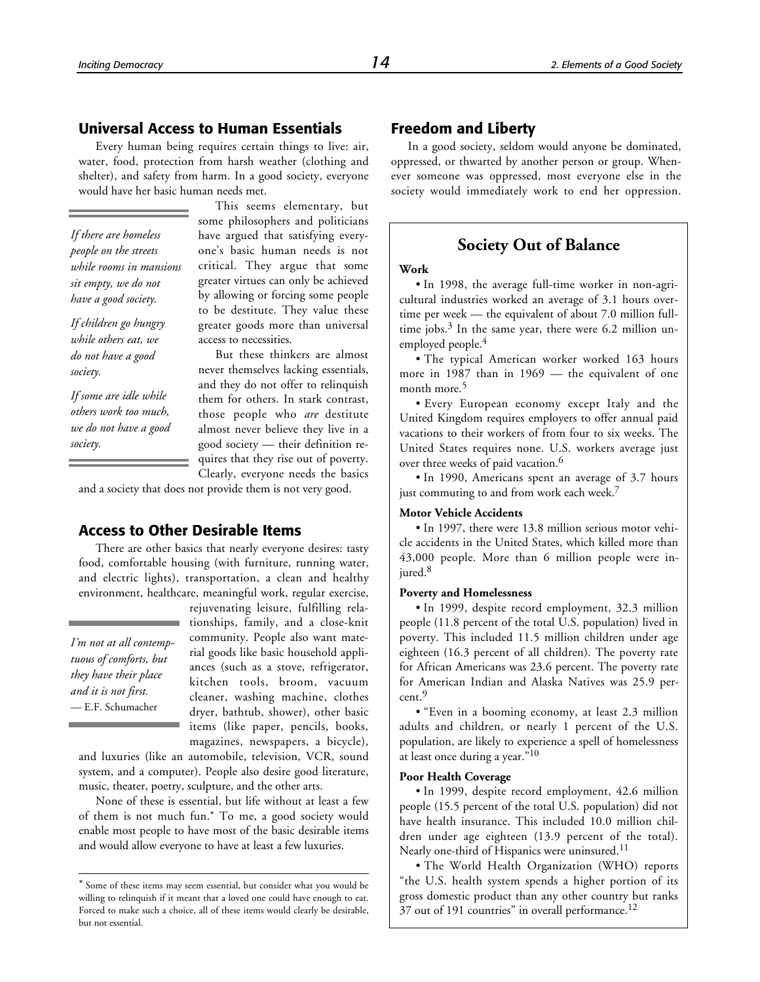#### **Universal Access to Human Essentials**

Every human being requires certain things to live: air, water, food, protection from harsh weather (clothing and shelter), and safety from harm. In a good society, everyone would have her basic human needs met.

*If there are homeless people on the streets while rooms in mansions sit empty, we do not have a good society.*

*If children go hungry while others eat, we do not have a good society.*

*If some are idle while others work too much, we do not have a good society.*

This seems elementary, but some philosophers and politicians have argued that satisfying everyone's basic human needs is not critical. They argue that some greater virtues can only be achieved by allowing or forcing some people to be destitute. They value these greater goods more than universal access to necessities.

But these thinkers are almost never themselves lacking essentials, and they do not offer to relinquish them for others. In stark contrast, those people who *are* destitute almost never believe they live in a good society — their definition requires that they rise out of poverty. Clearly, everyone needs the basics

and a society that does not provide them is not very good.

#### **Access to Other Desirable Items**

There are other basics that nearly everyone desires: tasty food, comfortable housing (with furniture, running water, and electric lights), transportation, a clean and healthy environment, healthcare, meaningful work, regular exercise,

*I'm not at all contemptuous of comforts, but they have their place and it is not first.* — E.F. Schumacher

-

rejuvenating leisure, fulfilling relationships, family, and a close-knit community. People also want material goods like basic household appliances (such as a stove, refrigerator, kitchen tools, broom, vacuum cleaner, washing machine, clothes dryer, bathtub, shower), other basic items (like paper, pencils, books, magazines, newspapers, a bicycle),

and luxuries (like an automobile, television, VCR, sound system, and a computer). People also desire good literature, music, theater, poetry, sculpture, and the other arts.

None of these is essential, but life without at least a few of them is not much fun.\* To me, a good society would enable most people to have most of the basic desirable items and would allow everyone to have at least a few luxuries.

#### **Freedom and Liberty**

In a good society, seldom would anyone be dominated, oppressed, or thwarted by another person or group. Whenever someone was oppressed, most everyone else in the society would immediately work to end her oppression.

#### **Society Out of Balance**

#### **Work**

• In 1998, the average full-time worker in non-agricultural industries worked an average of 3.1 hours overtime per week — the equivalent of about 7.0 million fulltime jobs.<sup>3</sup> In the same year, there were 6.2 million unemployed people.<sup>4</sup>

• The typical American worker worked 163 hours more in 1987 than in 1969 — the equivalent of one month more.<sup>5</sup>

• Every European economy except Italy and the United Kingdom requires employers to offer annual paid vacations to their workers of from four to six weeks. The United States requires none. U.S. workers average just over three weeks of paid vacation.<sup>6</sup>

• In 1990, Americans spent an average of 3.7 hours just commuting to and from work each week.<sup>7</sup>

#### **Motor Vehicle Accidents**

• In 1997, there were 13.8 million serious motor vehicle accidents in the United States, which killed more than 43,000 people. More than 6 million people were injured.<sup>8</sup>

#### **Poverty and Homelessness**

• In 1999, despite record employment, 32.3 million people (11.8 percent of the total U.S. population) lived in poverty. This included 11.5 million children under age eighteen (16.3 percent of all children). The poverty rate for African Americans was 23.6 percent. The poverty rate for American Indian and Alaska Natives was 25.9 percent.<sup>9</sup>

• "Even in a booming economy, at least 2.3 million adults and children, or nearly 1 percent of the U.S. population, are likely to experience a spell of homelessness at least once during a year."10

#### **Poor Health Coverage**

• In 1999, despite record employment, 42.6 million people (15.5 percent of the total U.S. population) did not have health insurance. This included 10.0 million children under age eighteen (13.9 percent of the total). Nearly one-third of Hispanics were uninsured.<sup>11</sup>

• The World Health Organization (WHO) reports "the U.S. health system spends a higher portion of its gross domestic product than any other country but ranks 37 out of 191 countries" in overall performance.<sup>12</sup>

<sup>\*</sup> Some of these items may seem essential, but consider what you would be willing to relinquish if it meant that a loved one could have enough to eat. Forced to make such a choice, all of these items would clearly be desirable, but not essential.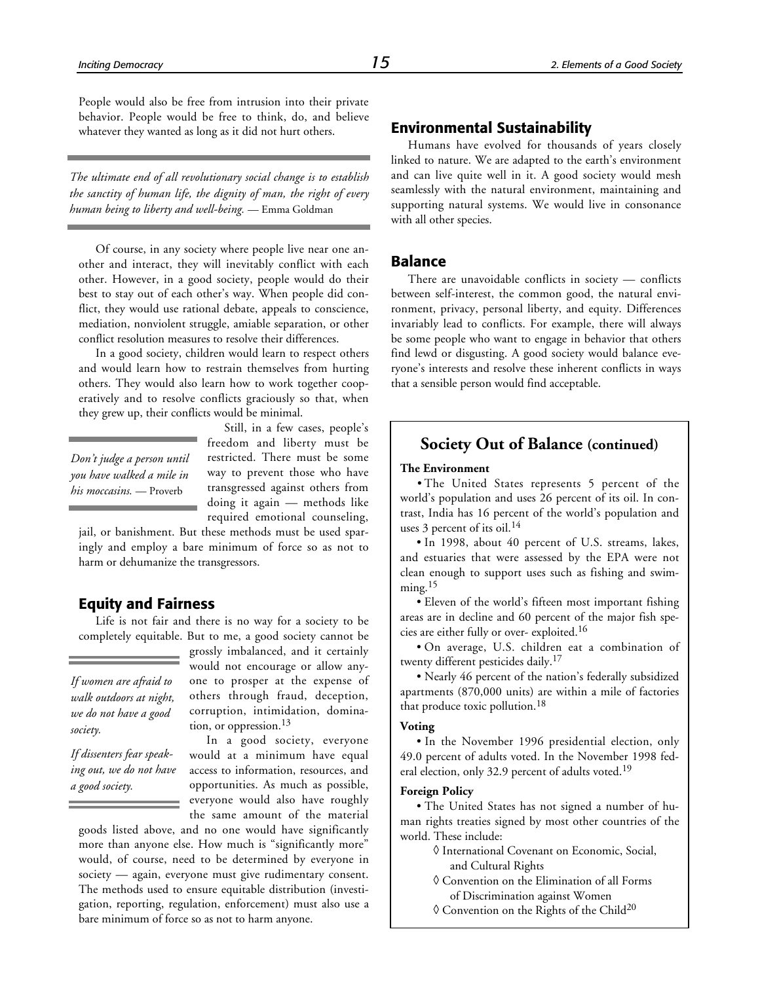*The ultimate end of all revolutionary social change is to establish the sanctity of human life, the dignity of man, the right of every human being to liberty and well-being.* — Emma Goldman

Of course, in any society where people live near one another and interact, they will inevitably conflict with each other. However, in a good society, people would do their best to stay out of each other's way. When people did conflict, they would use rational debate, appeals to conscience, mediation, nonviolent struggle, amiable separation, or other conflict resolution measures to resolve their differences.

In a good society, children would learn to respect others and would learn how to restrain themselves from hurting others. They would also learn how to work together cooperatively and to resolve conflicts graciously so that, when they grew up, their conflicts would be minimal.

*Don't judge a person until you have walked a mile in his moccasins.* — Proverb

Still, in a few cases, people's freedom and liberty must be restricted. There must be some way to prevent those who have transgressed against others from doing it again — methods like required emotional counseling,

jail, or banishment. But these methods must be used sparingly and employ a bare minimum of force so as not to harm or dehumanize the transgressors.

# **Equity and Fairness**

Life is not fair and there is no way for a society to be completely equitable. But to me, a good society cannot be

*If women are afraid to walk outdoors at night, we do not have a good society.*

*If dissenters fear speaking out, we do not have a good society.*

grossly imbalanced, and it certainly would not encourage or allow anyone to prosper at the expense of others through fraud, deception, corruption, intimidation, domination, or oppression.13

In a good society, everyone would at a minimum have equal access to information, resources, and opportunities. As much as possible, everyone would also have roughly the same amount of the material

goods listed above, and no one would have significantly more than anyone else. How much is "significantly more" would, of course, need to be determined by everyone in society — again, everyone must give rudimentary consent. The methods used to ensure equitable distribution (investigation, reporting, regulation, enforcement) must also use a bare minimum of force so as not to harm anyone.

#### **Environmental Sustainability**

Humans have evolved for thousands of years closely linked to nature. We are adapted to the earth's environment and can live quite well in it. A good society would mesh seamlessly with the natural environment, maintaining and supporting natural systems. We would live in consonance with all other species.

#### **Balance**

There are unavoidable conflicts in society — conflicts between self-interest, the common good, the natural environment, privacy, personal liberty, and equity. Differences invariably lead to conflicts. For example, there will always be some people who want to engage in behavior that others find lewd or disgusting. A good society would balance everyone's interests and resolve these inherent conflicts in ways that a sensible person would find acceptable.

#### **Society Out of Balance (continued)**

#### **The Environment**

*•* The United States represents 5 percent of the world's population and uses 26 percent of its oil. In contrast, India has 16 percent of the world's population and uses 3 percent of its oil.<sup>14</sup>

• In 1998, about 40 percent of U.S. streams, lakes, and estuaries that were assessed by the EPA were not clean enough to support uses such as fishing and swim- $\text{ming.}^{15}$ 

• Eleven of the world's fifteen most important fishing areas are in decline and 60 percent of the major fish species are either fully or over- exploited.<sup>16</sup>

• On average, U.S. children eat a combination of twenty different pesticides daily.<sup>17</sup>

• Nearly 46 percent of the nation's federally subsidized apartments (870,000 units) are within a mile of factories that produce toxic pollution.<sup>18</sup>

#### **Voting**

• In the November 1996 presidential election, only 49.0 percent of adults voted. In the November 1998 federal election, only 32.9 percent of adults voted.<sup>19</sup>

#### **Foreign Policy**

• The United States has not signed a number of human rights treaties signed by most other countries of the world. These include:

- ◊ International Covenant on Economic, Social, and Cultural Rights
- ◊ Convention on the Elimination of all Forms of Discrimination against Women
- $\Diamond$  Convention on the Rights of the Child<sup>20</sup>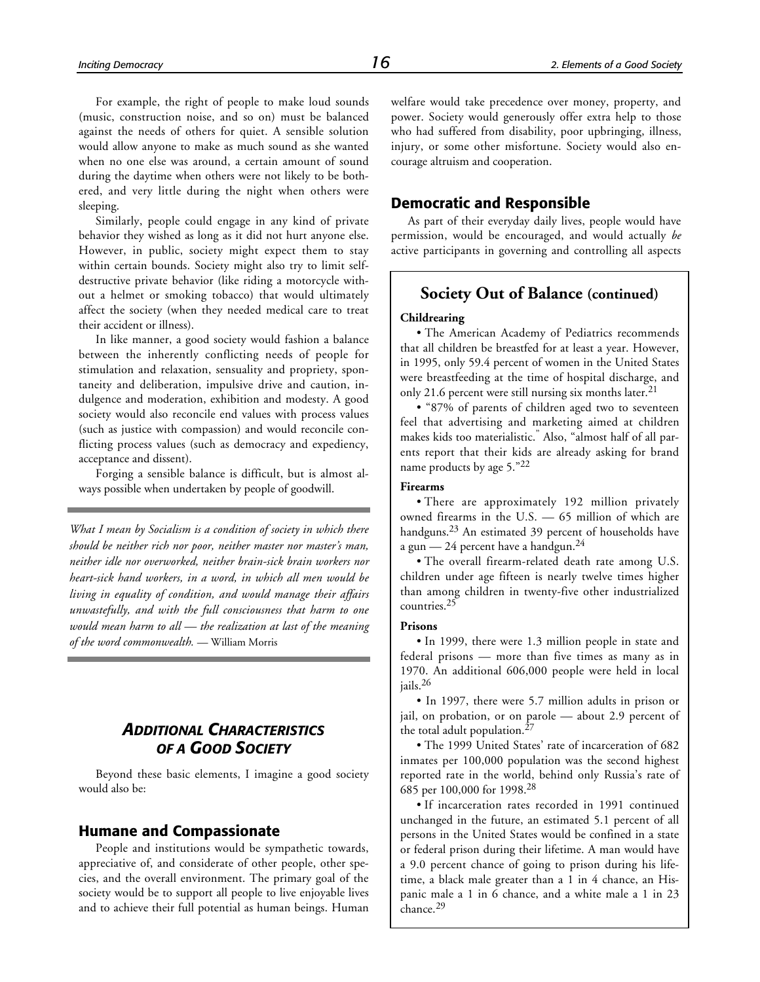For example, the right of people to make loud sounds (music, construction noise, and so on) must be balanced against the needs of others for quiet. A sensible solution would allow anyone to make as much sound as she wanted when no one else was around, a certain amount of sound during the daytime when others were not likely to be bothered, and very little during the night when others were sleeping.

Similarly, people could engage in any kind of private behavior they wished as long as it did not hurt anyone else. However, in public, society might expect them to stay within certain bounds. Society might also try to limit selfdestructive private behavior (like riding a motorcycle without a helmet or smoking tobacco) that would ultimately affect the society (when they needed medical care to treat their accident or illness).

In like manner, a good society would fashion a balance between the inherently conflicting needs of people for stimulation and relaxation, sensuality and propriety, spontaneity and deliberation, impulsive drive and caution, indulgence and moderation, exhibition and modesty. A good society would also reconcile end values with process values (such as justice with compassion) and would reconcile conflicting process values (such as democracy and expediency, acceptance and dissent).

Forging a sensible balance is difficult, but is almost always possible when undertaken by people of goodwill.

*What I mean by Socialism is a condition of society in which there should be neither rich nor poor, neither master nor master's man, neither idle nor overworked, neither brain-sick brain workers nor heart-sick hand workers, in a word, in which all men would be living in equality of condition, and would manage their affairs unwastefully, and with the full consciousness that harm to one would mean harm to all — the realization at last of the meaning of the word commonwealth.* — William Morris

# *ADDITIONAL CHARACTERISTICS OF A GOOD SOCIETY*

Beyond these basic elements, I imagine a good society would also be:

#### **Humane and Compassionate**

People and institutions would be sympathetic towards, appreciative of, and considerate of other people, other species, and the overall environment. The primary goal of the society would be to support all people to live enjoyable lives and to achieve their full potential as human beings. Human welfare would take precedence over money, property, and power. Society would generously offer extra help to those who had suffered from disability, poor upbringing, illness, injury, or some other misfortune. Society would also encourage altruism and cooperation.

#### **Democratic and Responsible**

As part of their everyday daily lives, people would have permission, would be encouraged, and would actually *be* active participants in governing and controlling all aspects

#### **Society Out of Balance (continued)**

#### **Childrearing**

• The American Academy of Pediatrics recommends that all children be breastfed for at least a year. However, in 1995, only 59.4 percent of women in the United States were breastfeeding at the time of hospital discharge, and only 21.6 percent were still nursing six months later.<sup>21</sup>

• "87% of parents of children aged two to seventeen feel that advertising and marketing aimed at children makes kids too materialistic." Also, "almost half of all parents report that their kids are already asking for brand name products by age 5."22

#### **Firearms**

• There are approximately 192 million privately owned firearms in the U.S. — 65 million of which are handguns.<sup>23</sup> An estimated 39 percent of households have a gun — 24 percent have a handgun.<sup>24</sup>

• The overall firearm-related death rate among U.S. children under age fifteen is nearly twelve times higher than among children in twenty-five other industrialized countries.25

#### **Prisons**

• In 1999, there were 1.3 million people in state and federal prisons — more than five times as many as in 1970. An additional 606,000 people were held in local jails.26

• In 1997, there were 5.7 million adults in prison or jail, on probation, or on parole — about 2.9 percent of the total adult population.<sup>27</sup>

• The 1999 United States' rate of incarceration of 682 inmates per 100,000 population was the second highest reported rate in the world, behind only Russia's rate of 685 per 100,000 for 1998.28

• If incarceration rates recorded in 1991 continued unchanged in the future, an estimated 5.1 percent of all persons in the United States would be confined in a state or federal prison during their lifetime. A man would have a 9.0 percent chance of going to prison during his lifetime, a black male greater than a 1 in 4 chance, an Hispanic male a 1 in 6 chance, and a white male a 1 in 23 chance.<sup>29</sup>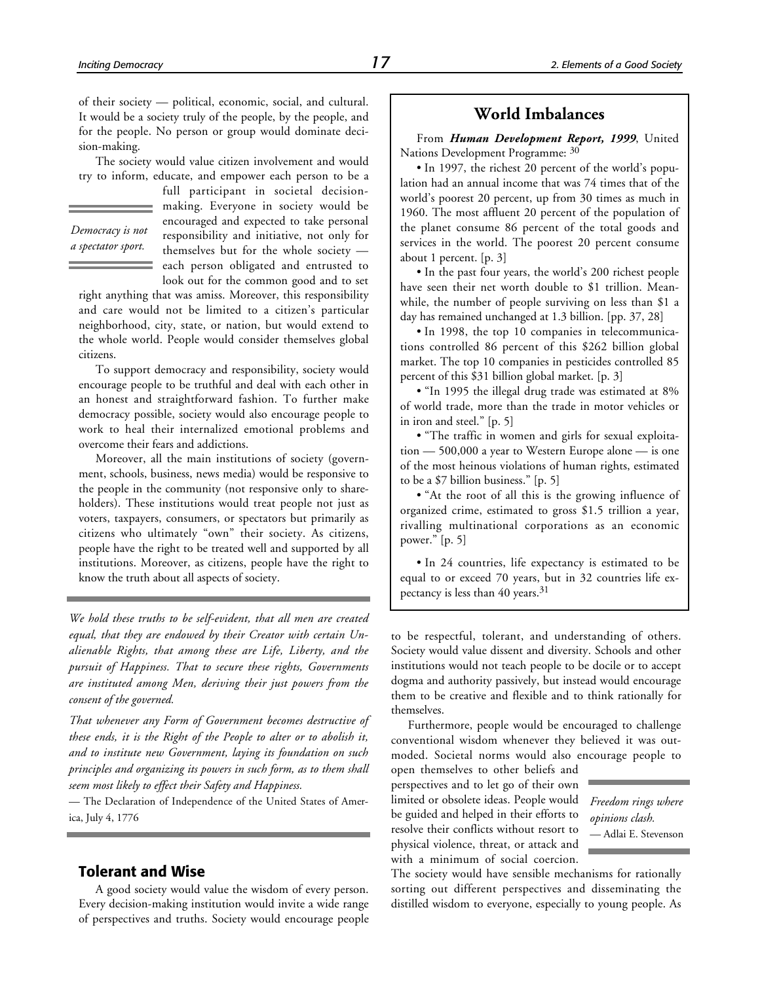of their society — political, economic, social, and cultural. It would be a society truly of the people, by the people, and for the people. No person or group would dominate decision-making.

The society would value citizen involvement and would try to inform, educate, and empower each person to be a

*Democracy is not a spectator sport.*

full participant in societal decisionmaking. Everyone in society would be encouraged and expected to take personal responsibility and initiative, not only for themselves but for the whole society each person obligated and entrusted to look out for the common good and to set

right anything that was amiss. Moreover, this responsibility and care would not be limited to a citizen's particular neighborhood, city, state, or nation, but would extend to the whole world. People would consider themselves global citizens.

To support democracy and responsibility, society would encourage people to be truthful and deal with each other in an honest and straightforward fashion. To further make democracy possible, society would also encourage people to work to heal their internalized emotional problems and overcome their fears and addictions.

Moreover, all the main institutions of society (government, schools, business, news media) would be responsive to the people in the community (not responsive only to shareholders). These institutions would treat people not just as voters, taxpayers, consumers, or spectators but primarily as citizens who ultimately "own" their society. As citizens, people have the right to be treated well and supported by all institutions. Moreover, as citizens, people have the right to know the truth about all aspects of society.

*We hold these truths to be self-evident, that all men are created equal, that they are endowed by their Creator with certain Unalienable Rights, that among these are Life, Liberty, and the pursuit of Happiness. That to secure these rights, Governments are instituted among Men, deriving their just powers from the consent of the governed.*

*That whenever any Form of Government becomes destructive of these ends, it is the Right of the People to alter or to abolish it, and to institute new Government, laying its foundation on such principles and organizing its powers in such form, as to them shall seem most likely to effect their Safety and Happiness.*

— The Declaration of Independence of the United States of America, July 4, 1776

#### **Tolerant and Wise**

A good society would value the wisdom of every person. Every decision-making institution would invite a wide range of perspectives and truths. Society would encourage people

# **World Imbalances**

From *Human Development Report, 1999*, United Nations Development Programme: <sup>30</sup>

• In 1997, the richest 20 percent of the world's population had an annual income that was 74 times that of the world's poorest 20 percent, up from 30 times as much in 1960. The most affluent 20 percent of the population of the planet consume 86 percent of the total goods and services in the world. The poorest 20 percent consume about 1 percent. [p. 3]

• In the past four years, the world's 200 richest people have seen their net worth double to \$1 trillion. Meanwhile, the number of people surviving on less than \$1 a day has remained unchanged at 1.3 billion. [pp. 37, 28]

• In 1998, the top 10 companies in telecommunications controlled 86 percent of this \$262 billion global market. The top 10 companies in pesticides controlled 85 percent of this \$31 billion global market. [p. 3]

• "In 1995 the illegal drug trade was estimated at 8% of world trade, more than the trade in motor vehicles or in iron and steel." [p. 5]

• "The traffic in women and girls for sexual exploitation — 500,000 a year to Western Europe alone — is one of the most heinous violations of human rights, estimated to be a \$7 billion business." [p. 5]

• "At the root of all this is the growing influence of organized crime, estimated to gross \$1.5 trillion a year, rivalling multinational corporations as an economic power." [p. 5]

• In 24 countries, life expectancy is estimated to be equal to or exceed 70 years, but in 32 countries life expectancy is less than 40 years.<sup>31</sup>

to be respectful, tolerant, and understanding of others. Society would value dissent and diversity. Schools and other institutions would not teach people to be docile or to accept dogma and authority passively, but instead would encourage them to be creative and flexible and to think rationally for themselves.

Furthermore, people would be encouraged to challenge conventional wisdom whenever they believed it was outmoded. Societal norms would also encourage people to

open themselves to other beliefs and perspectives and to let go of their own limited or obsolete ideas. People would be guided and helped in their efforts to resolve their conflicts without resort to physical violence, threat, or attack and with a minimum of social coercion.

*Freedom rings where opinions clash.* — Adlai E. Stevenson

The society would have sensible mechanisms for rationally sorting out different perspectives and disseminating the distilled wisdom to everyone, especially to young people. As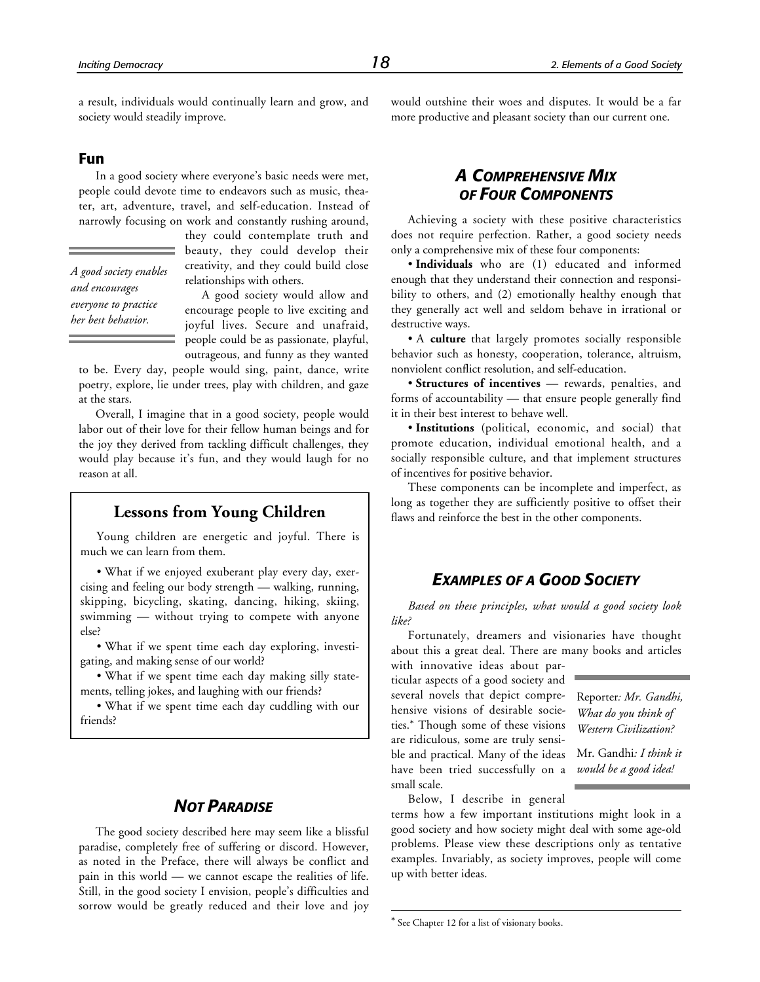a result, individuals would continually learn and grow, and society would steadily improve.

#### **Fun**

In a good society where everyone's basic needs were met, people could devote time to endeavors such as music, theater, art, adventure, travel, and self-education. Instead of narrowly focusing on work and constantly rushing around,

*A good society enables and encourages everyone to practice her best behavior.*

they could contemplate truth and beauty, they could develop their creativity, and they could build close relationships with others.

A good society would allow and encourage people to live exciting and joyful lives. Secure and unafraid, people could be as passionate, playful, outrageous, and funny as they wanted

to be. Every day, people would sing, paint, dance, write poetry, explore, lie under trees, play with children, and gaze at the stars.

Overall, I imagine that in a good society, people would labor out of their love for their fellow human beings and for the joy they derived from tackling difficult challenges, they would play because it's fun, and they would laugh for no reason at all.

# **Lessons from Young Children**

Young children are energetic and joyful. There is much we can learn from them.

• What if we enjoyed exuberant play every day, exercising and feeling our body strength — walking, running, skipping, bicycling, skating, dancing, hiking, skiing, swimming — without trying to compete with anyone else?

• What if we spent time each day exploring, investigating, and making sense of our world?

• What if we spent time each day making silly statements, telling jokes, and laughing with our friends?

• What if we spent time each day cuddling with our friends?

# *NOT PARADISE*

The good society described here may seem like a blissful paradise, completely free of suffering or discord. However, as noted in the Preface, there will always be conflict and pain in this world — we cannot escape the realities of life. Still, in the good society I envision, people's difficulties and sorrow would be greatly reduced and their love and joy would outshine their woes and disputes. It would be a far more productive and pleasant society than our current one.

# *A COMPREHENSIVE MIX OF FOUR COMPONENTS*

Achieving a society with these positive characteristics does not require perfection. Rather, a good society needs only a comprehensive mix of these four components:

• **Individuals** who are (1) educated and informed enough that they understand their connection and responsibility to others, and (2) emotionally healthy enough that they generally act well and seldom behave in irrational or destructive ways.

• A **culture** that largely promotes socially responsible behavior such as honesty, cooperation, tolerance, altruism, nonviolent conflict resolution, and self-education.

• **Structures of incentives** — rewards, penalties, and forms of accountability — that ensure people generally find it in their best interest to behave well.

• **Institutions** (political, economic, and social) that promote education, individual emotional health, and a socially responsible culture, and that implement structures of incentives for positive behavior.

These components can be incomplete and imperfect, as long as together they are sufficiently positive to offset their flaws and reinforce the best in the other components.

# *EXAMPLES OF A GOOD SOCIETY*

*Based on these principles, what would a good society look like?*

Fortunately, dreamers and visionaries have thought about this a great deal. There are many books and articles

with innovative ideas about particular aspects of a good society and several novels that depict comprehensive visions of desirable societies.\* Though some of these visions are ridiculous, some are truly sensible and practical. Many of the ideas have been tried successfully on a small scale.

Reporter*: Mr. Gandhi, What do you think of Western Civilization?*

Mr. Gandhi*: I think it would be a good idea!*

Below, I describe in general

terms how a few important institutions might look in a good society and how society might deal with some age-old problems. Please view these descriptions only as tentative examples. Invariably, as society improves, people will come up with better ideas.

\* See Chapter 12 for a list of visionary books.

1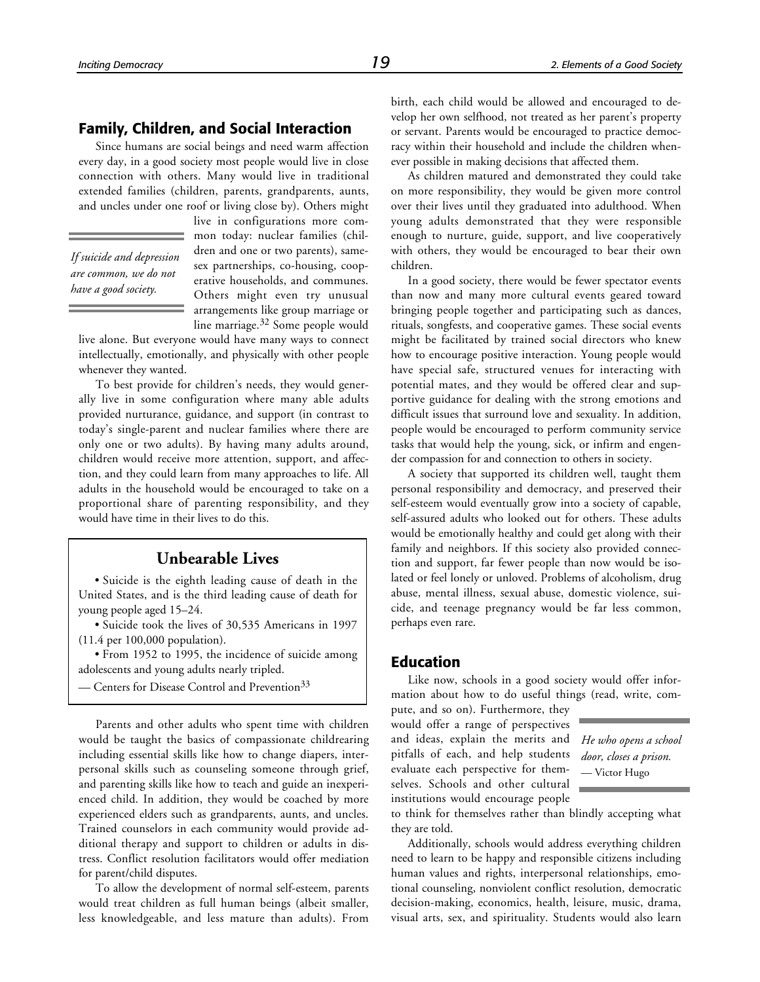# **Family, Children, and Social Interaction**

Since humans are social beings and need warm affection every day, in a good society most people would live in close connection with others. Many would live in traditional extended families (children, parents, grandparents, aunts, and uncles under one roof or living close by). Others might

*If suicide and depression are common, we do not have a good society.*

live in configurations more common today: nuclear families (children and one or two parents), samesex partnerships, co-housing, cooperative households, and communes. Others might even try unusual arrangements like group marriage or line marriage.32 Some people would

live alone. But everyone would have many ways to connect intellectually, emotionally, and physically with other people whenever they wanted.

To best provide for children's needs, they would generally live in some configuration where many able adults provided nurturance, guidance, and support (in contrast to today's single-parent and nuclear families where there are only one or two adults). By having many adults around, children would receive more attention, support, and affection, and they could learn from many approaches to life. All adults in the household would be encouraged to take on a proportional share of parenting responsibility, and they would have time in their lives to do this.

# **Unbearable Lives**

• Suicide is the eighth leading cause of death in the United States, and is the third leading cause of death for young people aged 15–24.

• Suicide took the lives of 30,535 Americans in 1997 (11.4 per 100,000 population).

• From 1952 to 1995, the incidence of suicide among adolescents and young adults nearly tripled.

— Centers for Disease Control and Prevention<sup>33</sup>

Parents and other adults who spent time with children would be taught the basics of compassionate childrearing including essential skills like how to change diapers, interpersonal skills such as counseling someone through grief, and parenting skills like how to teach and guide an inexperienced child. In addition, they would be coached by more experienced elders such as grandparents, aunts, and uncles. Trained counselors in each community would provide additional therapy and support to children or adults in distress. Conflict resolution facilitators would offer mediation for parent/child disputes.

To allow the development of normal self-esteem, parents would treat children as full human beings (albeit smaller, less knowledgeable, and less mature than adults). From birth, each child would be allowed and encouraged to develop her own selfhood, not treated as her parent's property or servant. Parents would be encouraged to practice democracy within their household and include the children whenever possible in making decisions that affected them.

As children matured and demonstrated they could take on more responsibility, they would be given more control over their lives until they graduated into adulthood. When young adults demonstrated that they were responsible enough to nurture, guide, support, and live cooperatively with others, they would be encouraged to bear their own children.

In a good society, there would be fewer spectator events than now and many more cultural events geared toward bringing people together and participating such as dances, rituals, songfests, and cooperative games. These social events might be facilitated by trained social directors who knew how to encourage positive interaction. Young people would have special safe, structured venues for interacting with potential mates, and they would be offered clear and supportive guidance for dealing with the strong emotions and difficult issues that surround love and sexuality. In addition, people would be encouraged to perform community service tasks that would help the young, sick, or infirm and engender compassion for and connection to others in society.

A society that supported its children well, taught them personal responsibility and democracy, and preserved their self-esteem would eventually grow into a society of capable, self-assured adults who looked out for others. These adults would be emotionally healthy and could get along with their family and neighbors. If this society also provided connection and support, far fewer people than now would be isolated or feel lonely or unloved. Problems of alcoholism, drug abuse, mental illness, sexual abuse, domestic violence, suicide, and teenage pregnancy would be far less common, perhaps even rare.

#### **Education**

Like now, schools in a good society would offer information about how to do useful things (read, write, com-

pute, and so on). Furthermore, they would offer a range of perspectives and ideas, explain the merits and *He who opens a school* pitfalls of each, and help students evaluate each perspective for themselves. Schools and other cultural institutions would encourage people

*door, closes a prison.* — Victor Hugo

to think for themselves rather than blindly accepting what they are told.

Additionally, schools would address everything children need to learn to be happy and responsible citizens including human values and rights, interpersonal relationships, emotional counseling, nonviolent conflict resolution, democratic decision-making, economics, health, leisure, music, drama, visual arts, sex, and spirituality. Students would also learn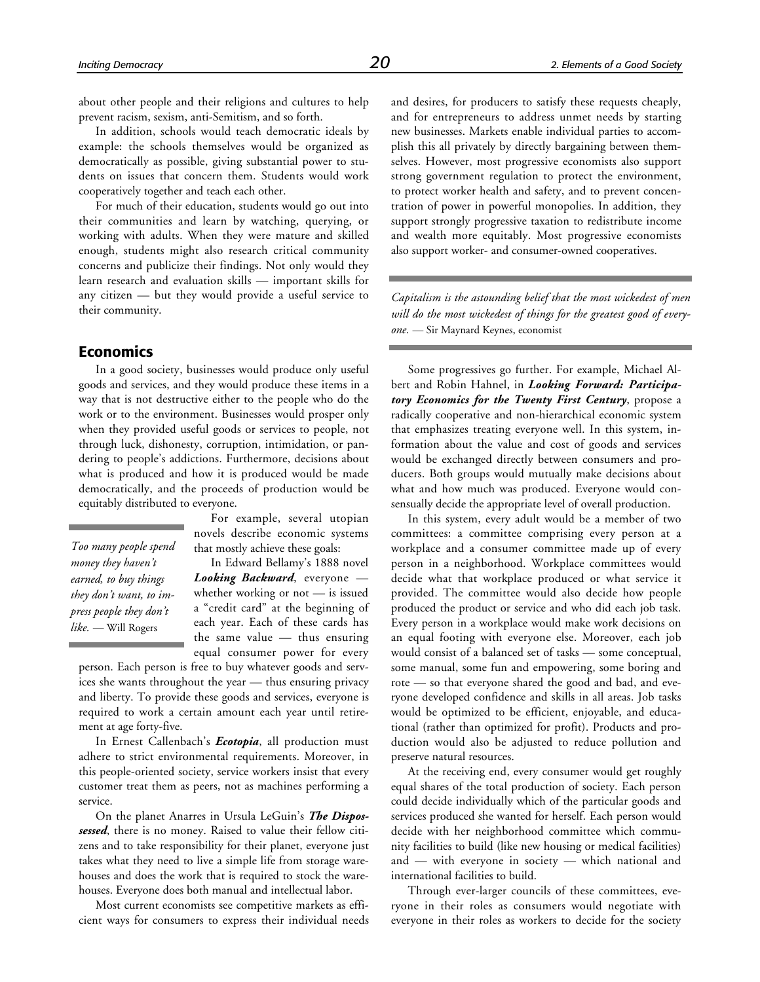about other people and their religions and cultures to help prevent racism, sexism, anti-Semitism, and so forth.

In addition, schools would teach democratic ideals by example: the schools themselves would be organized as democratically as possible, giving substantial power to students on issues that concern them. Students would work cooperatively together and teach each other.

For much of their education, students would go out into their communities and learn by watching, querying, or working with adults. When they were mature and skilled enough, students might also research critical community concerns and publicize their findings. Not only would they learn research and evaluation skills — important skills for any citizen — but they would provide a useful service to their community.

#### **Economics**

In a good society, businesses would produce only useful goods and services, and they would produce these items in a way that is not destructive either to the people who do the work or to the environment. Businesses would prosper only when they provided useful goods or services to people, not through luck, dishonesty, corruption, intimidation, or pandering to people's addictions. Furthermore, decisions about what is produced and how it is produced would be made democratically, and the proceeds of production would be equitably distributed to everyone.

*Too many people spend money they haven't earned, to buy things they don't want, to impress people they don't like.* — Will Rogers

For example, several utopian novels describe economic systems that mostly achieve these goals:

In Edward Bellamy's 1888 novel *Looking Backward*, everyone whether working or not — is issued a "credit card" at the beginning of each year. Each of these cards has the same value — thus ensuring equal consumer power for every

person. Each person is free to buy whatever goods and services she wants throughout the year — thus ensuring privacy and liberty. To provide these goods and services, everyone is required to work a certain amount each year until retirement at age forty-five.

In Ernest Callenbach's *Ecotopia*, all production must adhere to strict environmental requirements. Moreover, in this people-oriented society, service workers insist that every customer treat them as peers, not as machines performing a service.

On the planet Anarres in Ursula LeGuin's *The Dispossessed*, there is no money. Raised to value their fellow citizens and to take responsibility for their planet, everyone just takes what they need to live a simple life from storage warehouses and does the work that is required to stock the warehouses. Everyone does both manual and intellectual labor.

Most current economists see competitive markets as efficient ways for consumers to express their individual needs and desires, for producers to satisfy these requests cheaply, and for entrepreneurs to address unmet needs by starting new businesses. Markets enable individual parties to accomplish this all privately by directly bargaining between themselves. However, most progressive economists also support strong government regulation to protect the environment, to protect worker health and safety, and to prevent concentration of power in powerful monopolies. In addition, they support strongly progressive taxation to redistribute income and wealth more equitably. Most progressive economists also support worker- and consumer-owned cooperatives.

*Capitalism is the astounding belief that the most wickedest of men will do the most wickedest of things for the greatest good of everyone.* — Sir Maynard Keynes, economist

Some progressives go further. For example, Michael Albert and Robin Hahnel, in *Looking Forward: Participatory Economics for the Twenty First Century*, propose a radically cooperative and non-hierarchical economic system that emphasizes treating everyone well. In this system, information about the value and cost of goods and services would be exchanged directly between consumers and producers. Both groups would mutually make decisions about what and how much was produced. Everyone would consensually decide the appropriate level of overall production.

In this system, every adult would be a member of two committees: a committee comprising every person at a workplace and a consumer committee made up of every person in a neighborhood. Workplace committees would decide what that workplace produced or what service it provided. The committee would also decide how people produced the product or service and who did each job task. Every person in a workplace would make work decisions on an equal footing with everyone else. Moreover, each job would consist of a balanced set of tasks — some conceptual, some manual, some fun and empowering, some boring and rote — so that everyone shared the good and bad, and everyone developed confidence and skills in all areas. Job tasks would be optimized to be efficient, enjoyable, and educational (rather than optimized for profit). Products and production would also be adjusted to reduce pollution and preserve natural resources.

At the receiving end, every consumer would get roughly equal shares of the total production of society. Each person could decide individually which of the particular goods and services produced she wanted for herself. Each person would decide with her neighborhood committee which community facilities to build (like new housing or medical facilities) and — with everyone in society — which national and international facilities to build.

Through ever-larger councils of these committees, everyone in their roles as consumers would negotiate with everyone in their roles as workers to decide for the society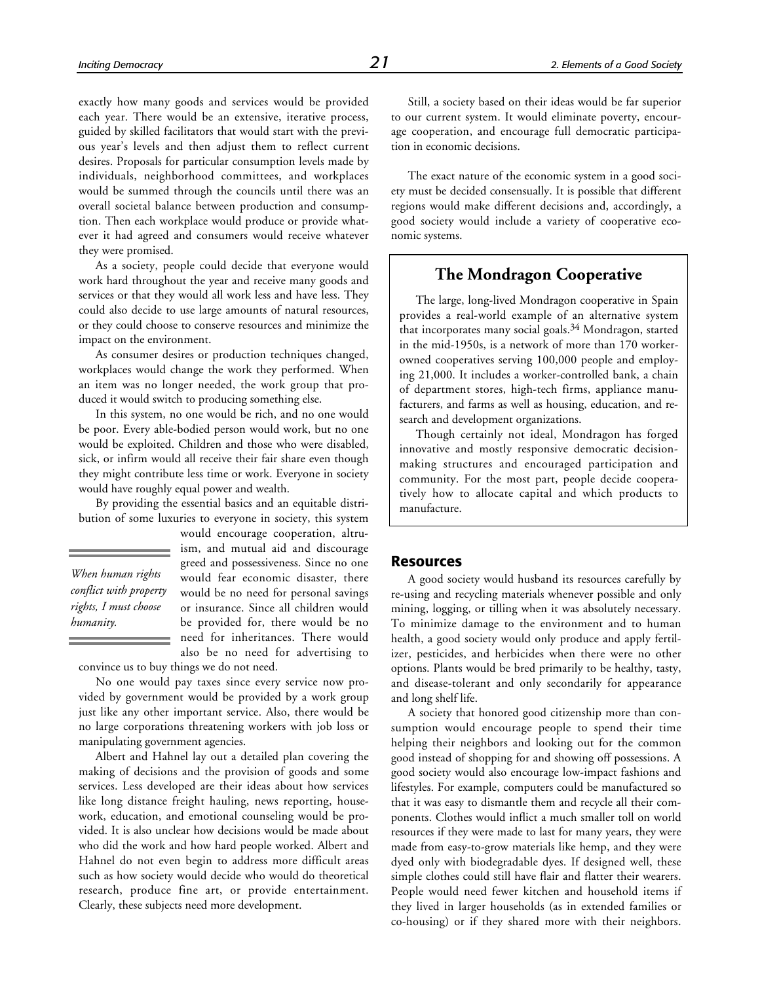exactly how many goods and services would be provided each year. There would be an extensive, iterative process, guided by skilled facilitators that would start with the previous year's levels and then adjust them to reflect current desires. Proposals for particular consumption levels made by individuals, neighborhood committees, and workplaces would be summed through the councils until there was an overall societal balance between production and consumption. Then each workplace would produce or provide whatever it had agreed and consumers would receive whatever they were promised.

As a society, people could decide that everyone would work hard throughout the year and receive many goods and services or that they would all work less and have less. They could also decide to use large amounts of natural resources, or they could choose to conserve resources and minimize the impact on the environment.

As consumer desires or production techniques changed, workplaces would change the work they performed. When an item was no longer needed, the work group that produced it would switch to producing something else.

In this system, no one would be rich, and no one would be poor. Every able-bodied person would work, but no one would be exploited. Children and those who were disabled, sick, or infirm would all receive their fair share even though they might contribute less time or work. Everyone in society would have roughly equal power and wealth.

By providing the essential basics and an equitable distribution of some luxuries to everyone in society, this system

*When human rights conflict with property rights, I must choose humanity.*

would encourage cooperation, altruism, and mutual aid and discourage greed and possessiveness. Since no one would fear economic disaster, there would be no need for personal savings or insurance. Since all children would be provided for, there would be no need for inheritances. There would also be no need for advertising to

convince us to buy things we do not need.

No one would pay taxes since every service now provided by government would be provided by a work group just like any other important service. Also, there would be no large corporations threatening workers with job loss or manipulating government agencies.

Albert and Hahnel lay out a detailed plan covering the making of decisions and the provision of goods and some services. Less developed are their ideas about how services like long distance freight hauling, news reporting, housework, education, and emotional counseling would be provided. It is also unclear how decisions would be made about who did the work and how hard people worked. Albert and Hahnel do not even begin to address more difficult areas such as how society would decide who would do theoretical research, produce fine art, or provide entertainment. Clearly, these subjects need more development.

Still, a society based on their ideas would be far superior to our current system. It would eliminate poverty, encourage cooperation, and encourage full democratic participation in economic decisions.

The exact nature of the economic system in a good society must be decided consensually. It is possible that different regions would make different decisions and, accordingly, a good society would include a variety of cooperative economic systems.

# **The Mondragon Cooperative**

The large, long-lived Mondragon cooperative in Spain provides a real-world example of an alternative system that incorporates many social goals.<sup>34</sup> Mondragon, started in the mid-1950s, is a network of more than 170 workerowned cooperatives serving 100,000 people and employing 21,000. It includes a worker-controlled bank, a chain of department stores, high-tech firms, appliance manufacturers, and farms as well as housing, education, and research and development organizations.

Though certainly not ideal, Mondragon has forged innovative and mostly responsive democratic decisionmaking structures and encouraged participation and community. For the most part, people decide cooperatively how to allocate capital and which products to manufacture.

#### **Resources**

A good society would husband its resources carefully by re-using and recycling materials whenever possible and only mining, logging, or tilling when it was absolutely necessary. To minimize damage to the environment and to human health, a good society would only produce and apply fertilizer, pesticides, and herbicides when there were no other options. Plants would be bred primarily to be healthy, tasty, and disease-tolerant and only secondarily for appearance and long shelf life.

A society that honored good citizenship more than consumption would encourage people to spend their time helping their neighbors and looking out for the common good instead of shopping for and showing off possessions. A good society would also encourage low-impact fashions and lifestyles. For example, computers could be manufactured so that it was easy to dismantle them and recycle all their components. Clothes would inflict a much smaller toll on world resources if they were made to last for many years, they were made from easy-to-grow materials like hemp, and they were dyed only with biodegradable dyes. If designed well, these simple clothes could still have flair and flatter their wearers. People would need fewer kitchen and household items if they lived in larger households (as in extended families or co-housing) or if they shared more with their neighbors.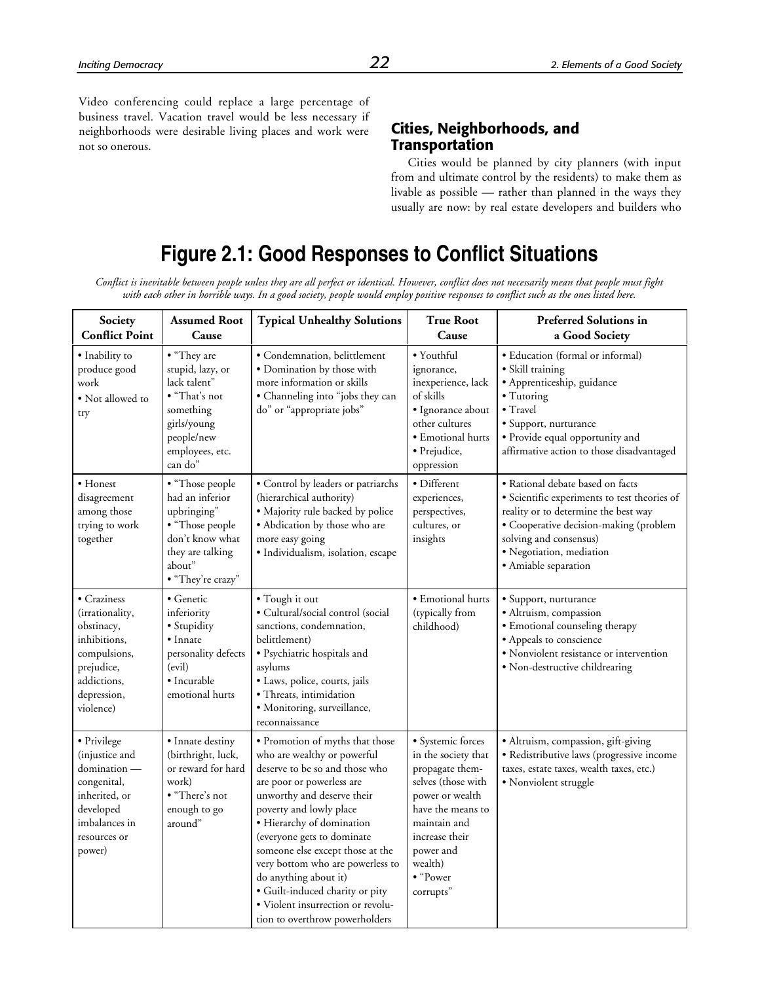Video conferencing could replace a large percentage of business travel. Vacation travel would be less necessary if neighborhoods were desirable living places and work were not so onerous.

# **Cities, Neighborhoods, and Transportation**

Cities would be planned by city planners (with input from and ultimate control by the residents) to make them as livable as possible — rather than planned in the ways they usually are now: by real estate developers and builders who

# **Figure 2.1: Good Responses to Conflict Situations**

*Conflict is inevitable between people unless they are all perfect or identical. However, conflict does not necessarily mean that people must fight with each other in horrible ways. In a good society, people would employ positive responses to conflict such as the ones listed here.*

| Society<br><b>Conflict Point</b>                                                                                                      | <b>Assumed Root</b><br>Cause                                                                                                                     | <b>Typical Unhealthy Solutions</b>                                                                                                                                                                                                                                                                                                                                                                                                                           | <b>True Root</b><br>Cause                                                                                                                                                                                    | <b>Preferred Solutions in</b><br>a Good Society                                                                                                                                                                                                  |
|---------------------------------------------------------------------------------------------------------------------------------------|--------------------------------------------------------------------------------------------------------------------------------------------------|--------------------------------------------------------------------------------------------------------------------------------------------------------------------------------------------------------------------------------------------------------------------------------------------------------------------------------------------------------------------------------------------------------------------------------------------------------------|--------------------------------------------------------------------------------------------------------------------------------------------------------------------------------------------------------------|--------------------------------------------------------------------------------------------------------------------------------------------------------------------------------------------------------------------------------------------------|
| • Inability to<br>produce good<br>work<br>• Not allowed to<br>try                                                                     | • "They are<br>stupid, lazy, or<br>lack talent"<br>$\bullet$ "That's not<br>something<br>girls/young<br>people/new<br>employees, etc.<br>can do" | · Condemnation, belittlement<br>· Domination by those with<br>more information or skills<br>• Channeling into "jobs they can<br>do" or "appropriate jobs"                                                                                                                                                                                                                                                                                                    | • Youthful<br>ignorance,<br>inexperience, lack<br>of skills<br>· Ignorance about<br>other cultures<br>· Emotional hurts<br>• Prejudice,<br>oppression                                                        | · Education (formal or informal)<br>• Skill training<br>· Apprenticeship, guidance<br>• Tutoring<br>• Travel<br>· Support, nurturance<br>· Provide equal opportunity and<br>affirmative action to those disadvantaged                            |
| • Honest<br>disagreement<br>among those<br>trying to work<br>together                                                                 | • "Those people<br>had an inferior<br>upbringing"<br>• "Those people<br>don't know what<br>they are talking<br>about"<br>• "They're crazy"       | · Control by leaders or patriarchs<br>(hierarchical authority)<br>· Majority rule backed by police<br>· Abdication by those who are<br>more easy going<br>· Individualism, isolation, escape                                                                                                                                                                                                                                                                 | • Different<br>experiences,<br>perspectives,<br>cultures, or<br>insights                                                                                                                                     | • Rational debate based on facts<br>· Scientific experiments to test theories of<br>reality or to determine the best way<br>· Cooperative decision-making (problem<br>solving and consensus)<br>· Negotiation, mediation<br>· Amiable separation |
| • Craziness<br>(irrationality,<br>obstinacy,<br>inhibitions,<br>compulsions,<br>prejudice,<br>addictions,<br>depression,<br>violence) | • Genetic<br>inferiority<br>· Stupidity<br>• Innate<br>personality defects<br>(evil)<br>• Incurable<br>emotional hurts                           | • Tough it out<br>· Cultural/social control (social<br>sanctions, condemnation,<br>belittlement)<br>· Psychiatric hospitals and<br>asylums<br>· Laws, police, courts, jails<br>· Threats, intimidation<br>· Monitoring, surveillance,<br>reconnaissance                                                                                                                                                                                                      | · Emotional hurts<br>(typically from<br>childhood)                                                                                                                                                           | · Support, nurturance<br>· Altruism, compassion<br>· Emotional counseling therapy<br>• Appeals to conscience<br>• Nonviolent resistance or intervention<br>· Non-destructive childrearing                                                        |
| • Privilege<br>(injustice and<br>domination -<br>congenital,<br>inherited, or<br>developed<br>imbalances in<br>resources or<br>power) | · Innate destiny<br>(birthright, luck,<br>or reward for hard<br>work)<br>$\bullet$ "There's not<br>enough to go<br>around"                       | · Promotion of myths that those<br>who are wealthy or powerful<br>deserve to be so and those who<br>are poor or powerless are<br>unworthy and deserve their<br>poverty and lowly place<br>· Hierarchy of domination<br>(everyone gets to dominate<br>someone else except those at the<br>very bottom who are powerless to<br>do anything about it)<br>· Guilt-induced charity or pity<br>· Violent insurrection or revolu-<br>tion to overthrow powerholders | · Systemic forces<br>in the society that<br>propagate them-<br>selves (those with<br>power or wealth<br>have the means to<br>maintain and<br>increase their<br>power and<br>wealth)<br>• "Power<br>corrupts" | · Altruism, compassion, gift-giving<br>· Redistributive laws (progressive income<br>taxes, estate taxes, wealth taxes, etc.)<br>· Nonviolent struggle                                                                                            |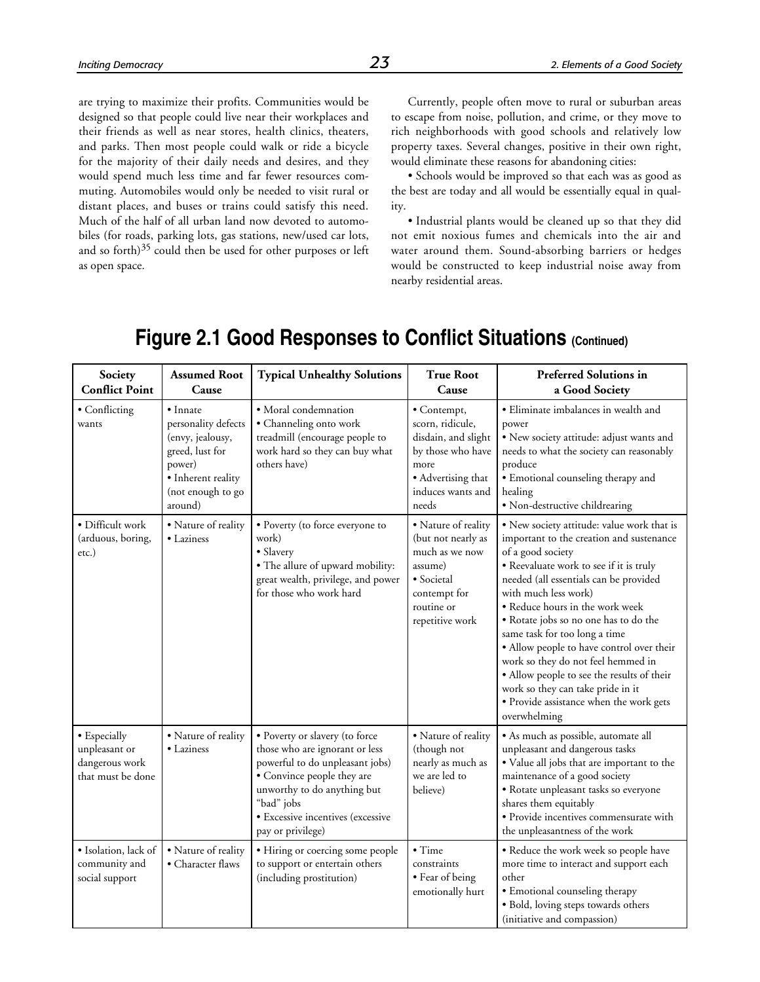are trying to maximize their profits. Communities would be designed so that people could live near their workplaces and their friends as well as near stores, health clinics, theaters, and parks. Then most people could walk or ride a bicycle for the majority of their daily needs and desires, and they would spend much less time and far fewer resources commuting. Automobiles would only be needed to visit rural or distant places, and buses or trains could satisfy this need. Much of the half of all urban land now devoted to automobiles (for roads, parking lots, gas stations, new/used car lots, and so forth) $35$  could then be used for other purposes or left as open space.

Currently, people often move to rural or suburban areas to escape from noise, pollution, and crime, or they move to rich neighborhoods with good schools and relatively low property taxes. Several changes, positive in their own right, would eliminate these reasons for abandoning cities:

• Schools would be improved so that each was as good as the best are today and all would be essentially equal in quality.

• Industrial plants would be cleaned up so that they did not emit noxious fumes and chemicals into the air and water around them. Sound-absorbing barriers or hedges would be constructed to keep industrial noise away from nearby residential areas.

# **Figure 2.1 Good Responses to Conflict Situations (Continued)**

| Society<br><b>Conflict Point</b>                                     | <b>Assumed Root</b><br>Cause                                                                                                           | <b>Typical Unhealthy Solutions</b>                                                                                                                                                                                                       | <b>True Root</b><br>Cause                                                                                                               | <b>Preferred Solutions in</b><br>a Good Society                                                                                                                                                                                                                                                                                                                                                                                                                                                                                                                        |  |
|----------------------------------------------------------------------|----------------------------------------------------------------------------------------------------------------------------------------|------------------------------------------------------------------------------------------------------------------------------------------------------------------------------------------------------------------------------------------|-----------------------------------------------------------------------------------------------------------------------------------------|------------------------------------------------------------------------------------------------------------------------------------------------------------------------------------------------------------------------------------------------------------------------------------------------------------------------------------------------------------------------------------------------------------------------------------------------------------------------------------------------------------------------------------------------------------------------|--|
| • Conflicting<br>wants                                               | • Innate<br>personality defects<br>(envy, jealousy,<br>greed, lust for<br>power)<br>· Inherent reality<br>(not enough to go<br>around) | · Moral condemnation<br>• Channeling onto work<br>treadmill (encourage people to<br>work hard so they can buy what<br>others have)                                                                                                       | • Contempt,<br>scorn, ridicule,<br>disdain, and slight<br>by those who have<br>more<br>• Advertising that<br>induces wants and<br>needs | · Eliminate imbalances in wealth and<br>power<br>· New society attitude: adjust wants and<br>needs to what the society can reasonably<br>produce<br>• Emotional counseling therapy and<br>healing<br>· Non-destructive childrearing                                                                                                                                                                                                                                                                                                                                    |  |
| · Difficult work<br>(arduous, boring,<br>etc.)                       | · Nature of reality<br>• Laziness                                                                                                      | • Poverty (to force everyone to<br>work)<br>• Slavery<br>• The allure of upward mobility:<br>great wealth, privilege, and power<br>for those who work hard                                                                               | · Nature of reality<br>(but not nearly as<br>much as we now<br>assume)<br>· Societal<br>contempt for<br>routine or<br>repetitive work   | · New society attitude: value work that is<br>important to the creation and sustenance<br>of a good society<br>• Reevaluate work to see if it is truly<br>needed (all essentials can be provided<br>with much less work)<br>• Reduce hours in the work week<br>· Rotate jobs so no one has to do the<br>same task for too long a time<br>· Allow people to have control over their<br>work so they do not feel hemmed in<br>• Allow people to see the results of their<br>work so they can take pride in it<br>· Provide assistance when the work gets<br>overwhelming |  |
| • Especially<br>unpleasant or<br>dangerous work<br>that must be done | · Nature of reality<br>• Laziness                                                                                                      | · Poverty or slavery (to force<br>those who are ignorant or less<br>powerful to do unpleasant jobs)<br>• Convince people they are<br>unworthy to do anything but<br>"bad" jobs<br>· Excessive incentives (excessive<br>pay or privilege) | · Nature of reality<br>(though not<br>nearly as much as<br>we are led to<br>believe)                                                    | · As much as possible, automate all<br>unpleasant and dangerous tasks<br>· Value all jobs that are important to the<br>maintenance of a good society<br>· Rotate unpleasant tasks so everyone<br>shares them equitably<br>· Provide incentives commensurate with<br>the unpleasantness of the work                                                                                                                                                                                                                                                                     |  |
| · Isolation, lack of<br>community and<br>social support              | · Nature of reality<br>• Character flaws                                                                                               | • Hiring or coercing some people<br>to support or entertain others<br>(including prostitution)                                                                                                                                           | $\bullet$ Time<br>constraints<br>· Fear of being<br>emotionally hurt                                                                    | • Reduce the work week so people have<br>more time to interact and support each<br>other<br>· Emotional counseling therapy<br>· Bold, loving steps towards others<br>(initiative and compassion)                                                                                                                                                                                                                                                                                                                                                                       |  |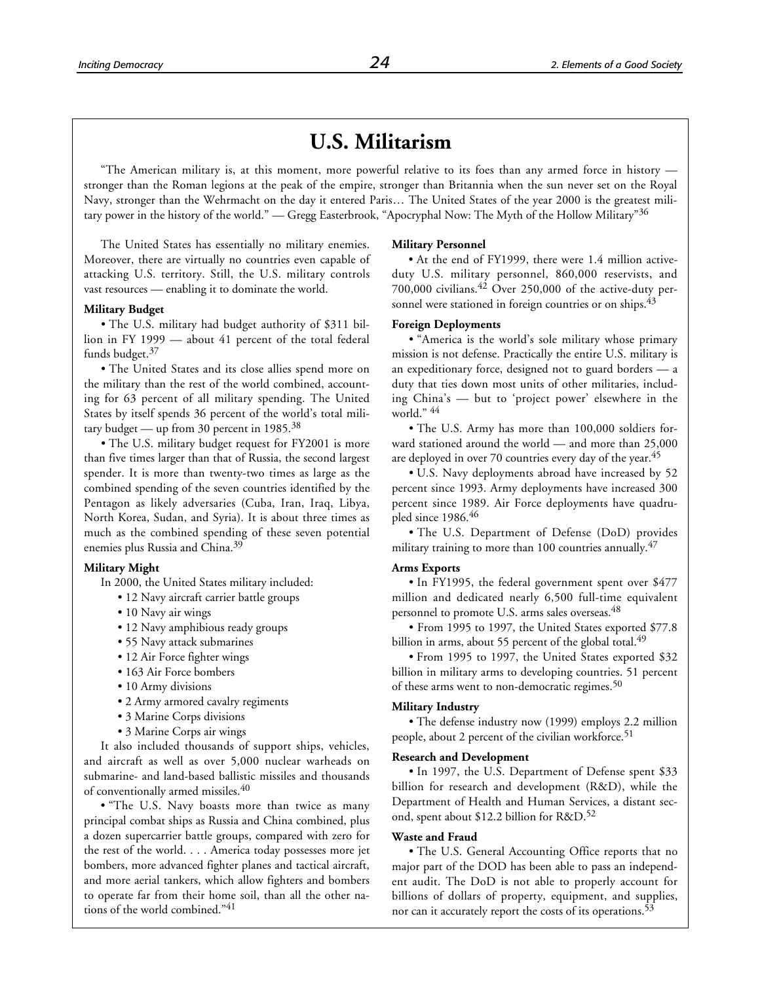# **U.S. Militarism**

"The American military is, at this moment, more powerful relative to its foes than any armed force in history stronger than the Roman legions at the peak of the empire, stronger than Britannia when the sun never set on the Royal Navy, stronger than the Wehrmacht on the day it entered Paris… The United States of the year 2000 is the greatest military power in the history of the world." — Gregg Easterbrook, "Apocryphal Now: The Myth of the Hollow Military"<sup>36</sup>

The United States has essentially no military enemies. Moreover, there are virtually no countries even capable of attacking U.S. territory. Still, the U.S. military controls vast resources — enabling it to dominate the world.

#### **Military Budget**

• The U.S. military had budget authority of \$311 billion in FY 1999 — about 41 percent of the total federal funds budget.<sup>37</sup>

• The United States and its close allies spend more on the military than the rest of the world combined, accounting for 63 percent of all military spending. The United States by itself spends 36 percent of the world's total military budget — up from 30 percent in 1985.<sup>38</sup>

• The U.S. military budget request for FY2001 is more than five times larger than that of Russia, the second largest spender. It is more than twenty-two times as large as the combined spending of the seven countries identified by the Pentagon as likely adversaries (Cuba, Iran, Iraq, Libya, North Korea, Sudan, and Syria). It is about three times as much as the combined spending of these seven potential enemies plus Russia and China.<sup>39</sup>

#### **Military Might**

In 2000, the United States military included:

- 12 Navy aircraft carrier battle groups
- 10 Navy air wings
- 12 Navy amphibious ready groups
- 55 Navy attack submarines
- 12 Air Force fighter wings
- 163 Air Force bombers
- 10 Army divisions
- 2 Army armored cavalry regiments
- 3 Marine Corps divisions
- 3 Marine Corps air wings

It also included thousands of support ships, vehicles, and aircraft as well as over 5,000 nuclear warheads on submarine- and land-based ballistic missiles and thousands of conventionally armed missiles.<sup>40</sup>

• "The U.S. Navy boasts more than twice as many principal combat ships as Russia and China combined, plus a dozen supercarrier battle groups, compared with zero for the rest of the world. . . . America today possesses more jet bombers, more advanced fighter planes and tactical aircraft, and more aerial tankers, which allow fighters and bombers to operate far from their home soil, than all the other nations of the world combined."41

#### **Military Personnel**

• At the end of FY1999, there were 1.4 million activeduty U.S. military personnel, 860,000 reservists, and 700,000 civilians. $42$  Over 250,000 of the active-duty personnel were stationed in foreign countries or on ships.<sup>43</sup>

#### **Foreign Deployments**

• "America is the world's sole military whose primary mission is not defense. Practically the entire U.S. military is an expeditionary force, designed not to guard borders — a duty that ties down most units of other militaries, including China's — but to 'project power' elsewhere in the world." 44

• The U.S. Army has more than 100,000 soldiers forward stationed around the world — and more than 25,000 are deployed in over 70 countries every day of the year.<sup>45</sup>

• U.S. Navy deployments abroad have increased by 52 percent since 1993. Army deployments have increased 300 percent since 1989. Air Force deployments have quadrupled since 1986.<sup>46</sup>

• The U.S. Department of Defense (DoD) provides military training to more than 100 countries annually. $47$ 

#### **Arms Exports**

• In FY1995, the federal government spent over \$477 million and dedicated nearly 6,500 full-time equivalent personnel to promote U.S. arms sales overseas.<sup>48</sup>

• From 1995 to 1997, the United States exported \$77.8 billion in arms, about 55 percent of the global total.<sup>49</sup>

• From 1995 to 1997, the United States exported \$32 billion in military arms to developing countries. 51 percent of these arms went to non-democratic regimes.<sup>50</sup>

#### **Military Industry**

• The defense industry now (1999) employs 2.2 million people, about 2 percent of the civilian workforce.<sup>51</sup>

#### **Research and Development**

• In 1997, the U.S. Department of Defense spent \$33 billion for research and development (R&D), while the Department of Health and Human Services, a distant second, spent about \$12.2 billion for R&D.52

#### **Waste and Fraud**

• The U.S. General Accounting Office reports that no major part of the DOD has been able to pass an independent audit. The DoD is not able to properly account for billions of dollars of property, equipment, and supplies, nor can it accurately report the costs of its operations.<sup>53</sup>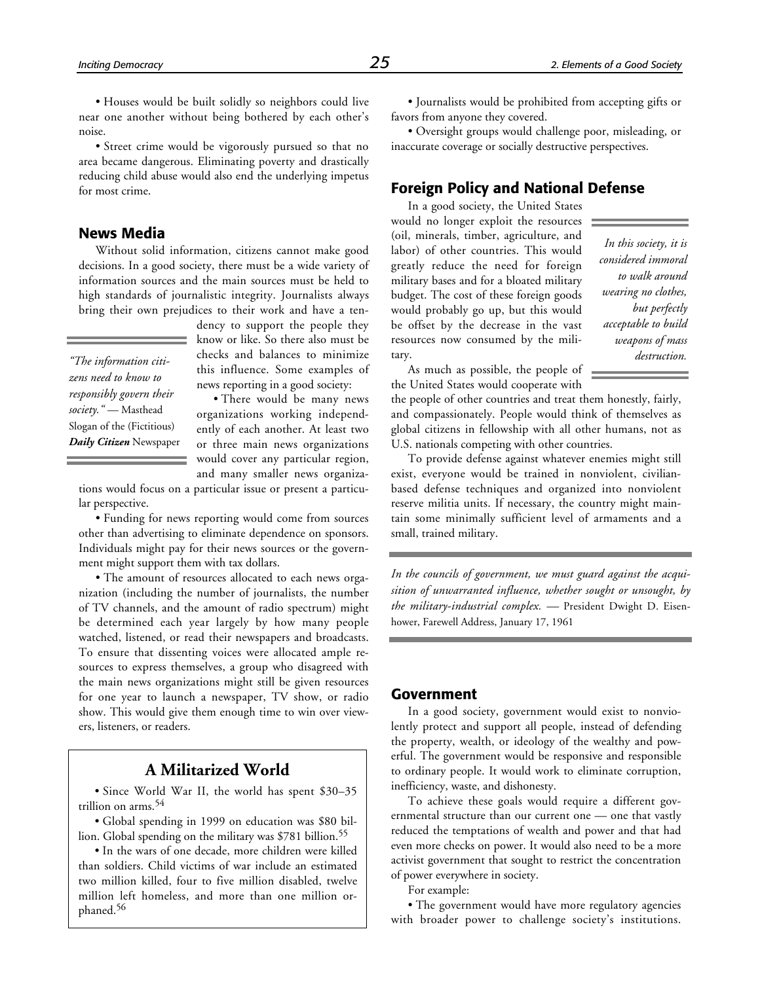• Houses would be built solidly so neighbors could live near one another without being bothered by each other's noise.

• Street crime would be vigorously pursued so that no area became dangerous. Eliminating poverty and drastically reducing child abuse would also end the underlying impetus for most crime.

#### **News Media**

Without solid information, citizens cannot make good decisions. In a good society, there must be a wide variety of information sources and the main sources must be held to high standards of journalistic integrity. Journalists always bring their own prejudices to their work and have a ten-

*"The information citizens need to know to responsibly govern their society."* — Masthead Slogan of the (Fictitious) *Daily Citizen* Newspaper

dency to support the people they know or like. So there also must be checks and balances to minimize this influence. Some examples of news reporting in a good society:

• There would be many news organizations working independently of each another. At least two or three main news organizations would cover any particular region, and many smaller news organiza-

tions would focus on a particular issue or present a particular perspective.

• Funding for news reporting would come from sources other than advertising to eliminate dependence on sponsors. Individuals might pay for their news sources or the government might support them with tax dollars.

• The amount of resources allocated to each news organization (including the number of journalists, the number of TV channels, and the amount of radio spectrum) might be determined each year largely by how many people watched, listened, or read their newspapers and broadcasts. To ensure that dissenting voices were allocated ample resources to express themselves, a group who disagreed with the main news organizations might still be given resources for one year to launch a newspaper, TV show, or radio show. This would give them enough time to win over viewers, listeners, or readers.

# **A Militarized World**

• Since World War II, the world has spent \$30–35 trillion on arms.<sup>54</sup>

• Global spending in 1999 on education was \$80 billion. Global spending on the military was \$781 billion.<sup>55</sup>

• In the wars of one decade, more children were killed than soldiers. Child victims of war include an estimated two million killed, four to five million disabled, twelve million left homeless, and more than one million orphaned.56

• Journalists would be prohibited from accepting gifts or favors from anyone they covered.

• Oversight groups would challenge poor, misleading, or inaccurate coverage or socially destructive perspectives.

#### **Foreign Policy and National Defense**

In a good society, the United States would no longer exploit the resources (oil, minerals, timber, agriculture, and labor) of other countries. This would greatly reduce the need for foreign military bases and for a bloated military budget. The cost of these foreign goods would probably go up, but this would be offset by the decrease in the vast resources now consumed by the military.

*In this society, it is considered immoral to walk around wearing no clothes, but perfectly acceptable to build weapons of mass destruction.*

As much as possible, the people of the United States would cooperate with

the people of other countries and treat them honestly, fairly, and compassionately. People would think of themselves as global citizens in fellowship with all other humans, not as U.S. nationals competing with other countries.

To provide defense against whatever enemies might still exist, everyone would be trained in nonviolent, civilianbased defense techniques and organized into nonviolent reserve militia units. If necessary, the country might maintain some minimally sufficient level of armaments and a small, trained military.

*In the councils of government, we must guard against the acquisition of unwarranted influence, whether sought or unsought, by the military-industrial complex. —* President Dwight D. Eisenhower, Farewell Address, January 17, 1961

#### **Government**

In a good society, government would exist to nonviolently protect and support all people, instead of defending the property, wealth, or ideology of the wealthy and powerful. The government would be responsive and responsible to ordinary people. It would work to eliminate corruption, inefficiency, waste, and dishonesty.

To achieve these goals would require a different governmental structure than our current one — one that vastly reduced the temptations of wealth and power and that had even more checks on power. It would also need to be a more activist government that sought to restrict the concentration of power everywhere in society.

For example:

• The government would have more regulatory agencies with broader power to challenge society's institutions.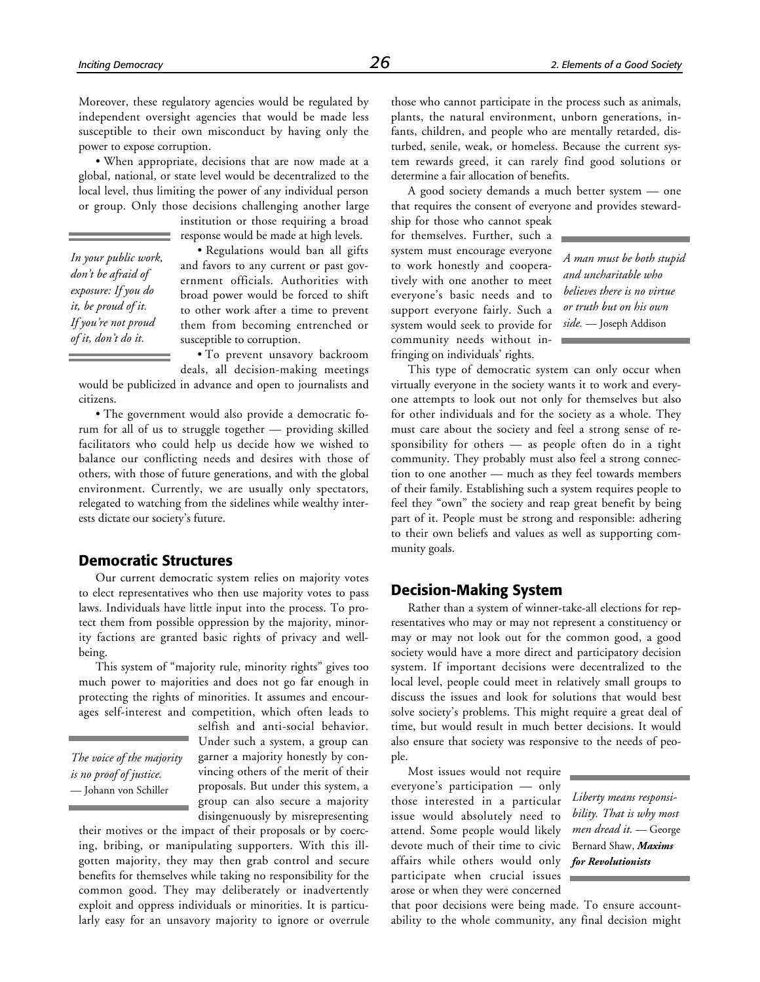Moreover, these regulatory agencies would be regulated by independent oversight agencies that would be made less susceptible to their own misconduct by having only the power to expose corruption.

• When appropriate, decisions that are now made at a global, national, or state level would be decentralized to the local level, thus limiting the power of any individual person or group. Only those decisions challenging another large

> institution or those requiring a broad response would be made at high levels.

*In your public work, don't be afraid of exposure: If you do it, be proud of it. If you're not proud of it, don't do it.*

• Regulations would ban all gifts and favors to any current or past government officials. Authorities with broad power would be forced to shift to other work after a time to prevent them from becoming entrenched or susceptible to corruption.

• To prevent unsavory backroom

deals, all decision-making meetings would be publicized in advance and open to journalists and citizens.

• The government would also provide a democratic forum for all of us to struggle together — providing skilled facilitators who could help us decide how we wished to balance our conflicting needs and desires with those of others, with those of future generations, and with the global environment. Currently, we are usually only spectators, relegated to watching from the sidelines while wealthy interests dictate our society's future.

#### **Democratic Structures**

Our current democratic system relies on majority votes to elect representatives who then use majority votes to pass laws. Individuals have little input into the process. To protect them from possible oppression by the majority, minority factions are granted basic rights of privacy and wellbeing.

This system of "majority rule, minority rights" gives too much power to majorities and does not go far enough in protecting the rights of minorities. It assumes and encourages self-interest and competition, which often leads to

*The voice of the majority is no proof of justice.* — Johann von Schiller

selfish and anti-social behavior. Under such a system, a group can garner a majority honestly by convincing others of the merit of their proposals. But under this system, a group can also secure a majority disingenuously by misrepresenting

their motives or the impact of their proposals or by coercing, bribing, or manipulating supporters. With this illgotten majority, they may then grab control and secure benefits for themselves while taking no responsibility for the common good. They may deliberately or inadvertently exploit and oppress individuals or minorities. It is particularly easy for an unsavory majority to ignore or overrule

those who cannot participate in the process such as animals, plants, the natural environment, unborn generations, infants, children, and people who are mentally retarded, disturbed, senile, weak, or homeless. Because the current system rewards greed, it can rarely find good solutions or determine a fair allocation of benefits.

A good society demands a much better system — one that requires the consent of everyone and provides steward-

ship for those who cannot speak for themselves. Further, such a system must encourage everyone to work honestly and cooperatively with one another to meet everyone's basic needs and to support everyone fairly. Such a system would seek to provide for community needs without infringing on individuals' rights.

*A man must be both stupid and uncharitable who believes there is no virtue or truth but on his own side.* — Joseph Addison

This type of democratic system can only occur when virtually everyone in the society wants it to work and everyone attempts to look out not only for themselves but also for other individuals and for the society as a whole. They must care about the society and feel a strong sense of responsibility for others — as people often do in a tight community. They probably must also feel a strong connection to one another — much as they feel towards members of their family. Establishing such a system requires people to feel they "own" the society and reap great benefit by being part of it. People must be strong and responsible: adhering to their own beliefs and values as well as supporting community goals.

# **Decision-Making System**

Rather than a system of winner-take-all elections for representatives who may or may not represent a constituency or may or may not look out for the common good, a good society would have a more direct and participatory decision system. If important decisions were decentralized to the local level, people could meet in relatively small groups to discuss the issues and look for solutions that would best solve society's problems. This might require a great deal of time, but would result in much better decisions. It would also ensure that society was responsive to the needs of people.

Most issues would not require everyone's participation — only those interested in a particular issue would absolutely need to attend. Some people would likely devote much of their time to civic affairs while others would only participate when crucial issues arose or when they were concerned

*Liberty means responsibility. That is why most men dread it.* — George Bernard Shaw, *Maxims for Revolutionists*

that poor decisions were being made. To ensure accountability to the whole community, any final decision might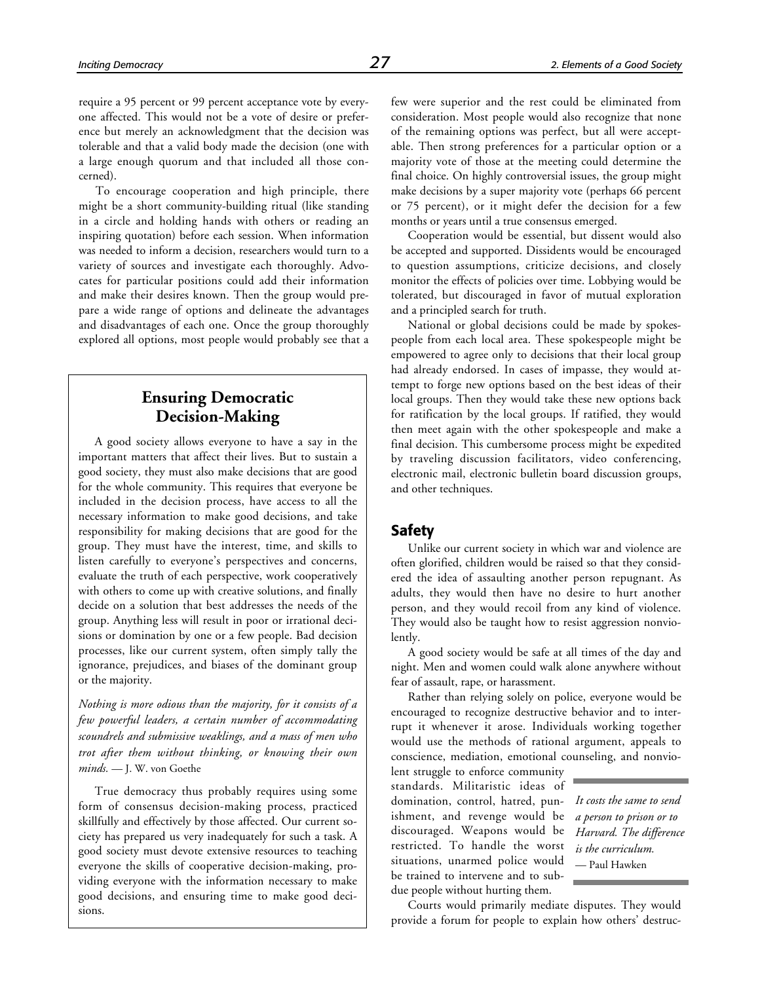require a 95 percent or 99 percent acceptance vote by everyone affected. This would not be a vote of desire or preference but merely an acknowledgment that the decision was tolerable and that a valid body made the decision (one with a large enough quorum and that included all those concerned).

To encourage cooperation and high principle, there might be a short community-building ritual (like standing in a circle and holding hands with others or reading an inspiring quotation) before each session. When information was needed to inform a decision, researchers would turn to a variety of sources and investigate each thoroughly. Advocates for particular positions could add their information and make their desires known. Then the group would prepare a wide range of options and delineate the advantages and disadvantages of each one. Once the group thoroughly explored all options, most people would probably see that a

# **Ensuring Democratic Decision-Making**

A good society allows everyone to have a say in the important matters that affect their lives. But to sustain a good society, they must also make decisions that are good for the whole community. This requires that everyone be included in the decision process, have access to all the necessary information to make good decisions, and take responsibility for making decisions that are good for the group. They must have the interest, time, and skills to listen carefully to everyone's perspectives and concerns, evaluate the truth of each perspective, work cooperatively with others to come up with creative solutions, and finally decide on a solution that best addresses the needs of the group. Anything less will result in poor or irrational decisions or domination by one or a few people. Bad decision processes, like our current system, often simply tally the ignorance, prejudices, and biases of the dominant group or the majority.

*Nothing is more odious than the majority, for it consists of a few powerful leaders, a certain number of accommodating scoundrels and submissive weaklings, and a mass of men who trot after them without thinking, or knowing their own minds.* — J. W. von Goethe

True democracy thus probably requires using some form of consensus decision-making process, practiced skillfully and effectively by those affected. Our current society has prepared us very inadequately for such a task. A good society must devote extensive resources to teaching everyone the skills of cooperative decision-making, providing everyone with the information necessary to make good decisions, and ensuring time to make good decisions.

few were superior and the rest could be eliminated from consideration. Most people would also recognize that none of the remaining options was perfect, but all were acceptable. Then strong preferences for a particular option or a majority vote of those at the meeting could determine the final choice. On highly controversial issues, the group might make decisions by a super majority vote (perhaps 66 percent or 75 percent), or it might defer the decision for a few months or years until a true consensus emerged.

Cooperation would be essential, but dissent would also be accepted and supported. Dissidents would be encouraged to question assumptions, criticize decisions, and closely monitor the effects of policies over time. Lobbying would be tolerated, but discouraged in favor of mutual exploration and a principled search for truth.

National or global decisions could be made by spokespeople from each local area. These spokespeople might be empowered to agree only to decisions that their local group had already endorsed. In cases of impasse, they would attempt to forge new options based on the best ideas of their local groups. Then they would take these new options back for ratification by the local groups. If ratified, they would then meet again with the other spokespeople and make a final decision. This cumbersome process might be expedited by traveling discussion facilitators, video conferencing, electronic mail, electronic bulletin board discussion groups, and other techniques.

#### **Safety**

Unlike our current society in which war and violence are often glorified, children would be raised so that they considered the idea of assaulting another person repugnant. As adults, they would then have no desire to hurt another person, and they would recoil from any kind of violence. They would also be taught how to resist aggression nonviolently.

A good society would be safe at all times of the day and night. Men and women could walk alone anywhere without fear of assault, rape, or harassment.

Rather than relying solely on police, everyone would be encouraged to recognize destructive behavior and to interrupt it whenever it arose. Individuals working together would use the methods of rational argument, appeals to conscience, mediation, emotional counseling, and nonvio-

lent struggle to enforce community standards. Militaristic ideas of domination, control, hatred, pun-*It costs the same to send* ishment, and revenge would be *a person to prison or to* discouraged. Weapons would be *Harvard. The difference* restricted. To handle the worst situations, unarmed police would be trained to intervene and to subdue people without hurting them.

*is the curriculum.* — Paul Hawken

Courts would primarily mediate disputes. They would provide a forum for people to explain how others' destruc-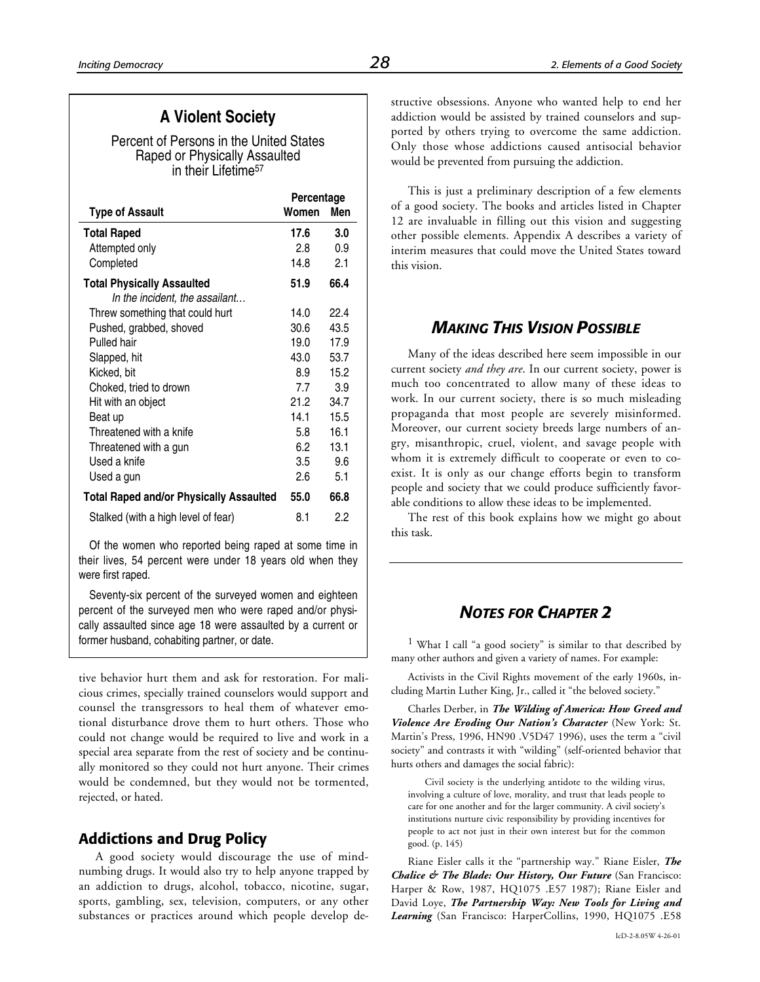# **A Violent Society**

Percent of Persons in the United States Raped or Physically Assaulted in their Lifetime<sup>57</sup>

|                                                | Percentage |      |
|------------------------------------------------|------------|------|
| <b>Type of Assault</b>                         | Women      | Men  |
| <b>Total Raped</b>                             | 17.6       | 3.0  |
| Attempted only                                 | 2.8        | 0.9  |
| Completed                                      | 14.8       | 21   |
| <b>Total Physically Assaulted</b>              | 51.9       | 66.4 |
| In the incident, the assailant                 |            |      |
| Threw something that could hurt                | 14.0       | 22.4 |
| Pushed, grabbed, shoved                        | 30.6       | 43.5 |
| Pulled hair                                    | 19.0       | 17.9 |
| Slapped, hit                                   | 43.0       | 53.7 |
| Kicked, bit                                    | 8.9        | 15.2 |
| Choked, tried to drown                         | 77         | 3.9  |
| Hit with an object                             | 21.2       | 34.7 |
| Beat up                                        | 14.1       | 15.5 |
| Threatened with a knife                        | 5.8        | 16.1 |
| Threatened with a gun                          | 6.2        | 13.1 |
| Used a knife                                   | 3.5        | 9.6  |
| Used a gun                                     | 2.6        | 5.1  |
| <b>Total Raped and/or Physically Assaulted</b> | 55.0       | 66.8 |
| Stalked (with a high level of fear)            | 8.1        | 2.2  |

Of the women who reported being raped at some time in their lives, 54 percent were under 18 years old when they were first raped.

Seventy-six percent of the surveyed women and eighteen percent of the surveyed men who were raped and/or physically assaulted since age 18 were assaulted by a current or former husband, cohabiting partner, or date.

tive behavior hurt them and ask for restoration. For malicious crimes, specially trained counselors would support and counsel the transgressors to heal them of whatever emotional disturbance drove them to hurt others. Those who could not change would be required to live and work in a special area separate from the rest of society and be continually monitored so they could not hurt anyone. Their crimes would be condemned, but they would not be tormented, rejected, or hated.

#### **Addictions and Drug Policy**

A good society would discourage the use of mindnumbing drugs. It would also try to help anyone trapped by an addiction to drugs, alcohol, tobacco, nicotine, sugar, sports, gambling, sex, television, computers, or any other substances or practices around which people develop destructive obsessions. Anyone who wanted help to end her addiction would be assisted by trained counselors and supported by others trying to overcome the same addiction. Only those whose addictions caused antisocial behavior would be prevented from pursuing the addiction.

This is just a preliminary description of a few elements of a good society. The books and articles listed in Chapter 12 are invaluable in filling out this vision and suggesting other possible elements. Appendix A describes a variety of interim measures that could move the United States toward this vision.

# *MAKING THIS VISION POSSIBLE*

Many of the ideas described here seem impossible in our current society *and they are*. In our current society, power is much too concentrated to allow many of these ideas to work. In our current society, there is so much misleading propaganda that most people are severely misinformed. Moreover, our current society breeds large numbers of angry, misanthropic, cruel, violent, and savage people with whom it is extremely difficult to cooperate or even to coexist. It is only as our change efforts begin to transform people and society that we could produce sufficiently favorable conditions to allow these ideas to be implemented.

The rest of this book explains how we might go about this task.

# *NOTES FOR CHAPTER 2*

<sup>1</sup> What I call "a good society" is similar to that described by many other authors and given a variety of names. For example:

Activists in the Civil Rights movement of the early 1960s, including Martin Luther King, Jr., called it "the beloved society."

Charles Derber, in *The Wilding of America: How Greed and Violence Are Eroding Our Nation's Character* (New York: St. Martin's Press, 1996, HN90 .V5D47 1996), uses the term a "civil society" and contrasts it with "wilding" (self-oriented behavior that hurts others and damages the social fabric):

Civil society is the underlying antidote to the wilding virus, involving a culture of love, morality, and trust that leads people to care for one another and for the larger community. A civil society's institutions nurture civic responsibility by providing incentives for people to act not just in their own interest but for the common good. (p. 145)

Riane Eisler calls it the "partnership way." Riane Eisler, *The Chalice & The Blade: Our History, Our Future* (San Francisco: Harper & Row, 1987, HQ1075 .E57 1987); Riane Eisler and David Loye, *The Partnership Way: New Tools for Living and Learning* (San Francisco: HarperCollins, 1990, HQ1075 .E58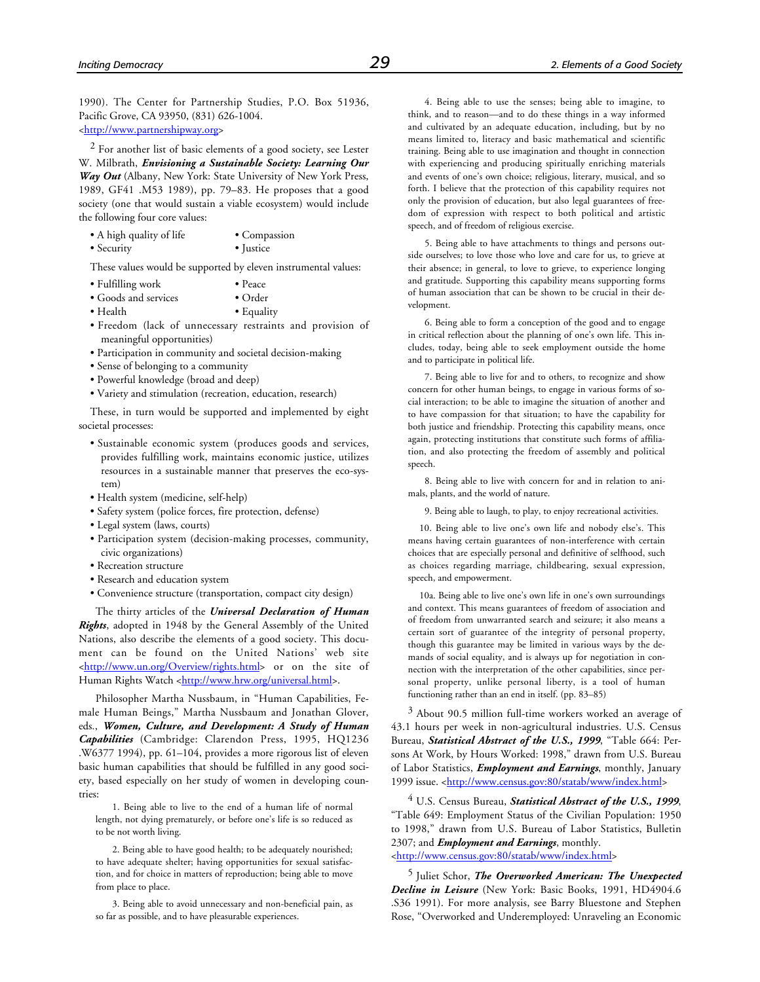1990). The Center for Partnership Studies, P.O. Box 51936, Pacific Grove, CA 93950, (831) 626-1004. [<http://www.partnershipway.org>](http://www.partnershipway.org)

2 For another list of basic elements of a good society, see Lester W. Milbrath, *Envisioning a Sustainable Society: Learning Our Way Out* (Albany, New York: State University of New York Press, 1989, GF41 .M53 1989), pp. 79–83. He proposes that a good society (one that would sustain a viable ecosystem) would include the following four core values:

| • A high quality of life | • Compassion |
|--------------------------|--------------|
| • Security               | • Justice    |

These values would be supported by eleven instrumental values:

- Fulfilling work Peace
- Goods and services Order
- Health Equality
- Freedom (lack of unnecessary restraints and provision of meaningful opportunities)
- Participation in community and societal decision-making
- Sense of belonging to a community
- Powerful knowledge (broad and deep)
- Variety and stimulation (recreation, education, research)

These, in turn would be supported and implemented by eight societal processes:

- Sustainable economic system (produces goods and services, provides fulfilling work, maintains economic justice, utilizes resources in a sustainable manner that preserves the eco-system)
- Health system (medicine, self-help)
- Safety system (police forces, fire protection, defense)
- Legal system (laws, courts)
- Participation system (decision-making processes, community, civic organizations)
- Recreation structure
- Research and education system
- Convenience structure (transportation, compact city design)

The thirty articles of the *Universal Declaration of Human Rights*, adopted in 1948 by the General Assembly of the United Nations, also describe the elements of a good society. This document can be found on the United Nations' web site [<http://www.un.org/Overview/rights.html>](http://www.un.org/Overview/rights.html) or on the site of Human Rights Watch [<http://www.hrw.org/universal.html>.](http://www.hrw.org/universal.html)

Philosopher Martha Nussbaum, in "Human Capabilities, Female Human Beings," Martha Nussbaum and Jonathan Glover, eds., *Women, Culture, and Development: A Study of Human Capabilities* (Cambridge: Clarendon Press, 1995, HQ1236 .W6377 1994), pp. 61–104, provides a more rigorous list of eleven basic human capabilities that should be fulfilled in any good society, based especially on her study of women in developing countries:

1. Being able to live to the end of a human life of normal length, not dying prematurely, or before one's life is so reduced as to be not worth living.

2. Being able to have good health; to be adequately nourished; to have adequate shelter; having opportunities for sexual satisfaction, and for choice in matters of reproduction; being able to move from place to place.

3. Being able to avoid unnecessary and non-beneficial pain, as so far as possible, and to have pleasurable experiences.

4. Being able to use the senses; being able to imagine, to think, and to reason—and to do these things in a way informed and cultivated by an adequate education, including, but by no means limited to, literacy and basic mathematical and scientific training. Being able to use imagination and thought in connection with experiencing and producing spiritually enriching materials and events of one's own choice; religious, literary, musical, and so forth. I believe that the protection of this capability requires not only the provision of education, but also legal guarantees of freedom of expression with respect to both political and artistic speech, and of freedom of religious exercise.

5. Being able to have attachments to things and persons outside ourselves; to love those who love and care for us, to grieve at their absence; in general, to love to grieve, to experience longing and gratitude. Supporting this capability means supporting forms of human association that can be shown to be crucial in their development.

6. Being able to form a conception of the good and to engage in critical reflection about the planning of one's own life. This includes, today, being able to seek employment outside the home and to participate in political life.

7. Being able to live for and to others, to recognize and show concern for other human beings, to engage in various forms of social interaction; to be able to imagine the situation of another and to have compassion for that situation; to have the capability for both justice and friendship. Protecting this capability means, once again, protecting institutions that constitute such forms of affiliation, and also protecting the freedom of assembly and political speech.

8. Being able to live with concern for and in relation to animals, plants, and the world of nature.

9. Being able to laugh, to play, to enjoy recreational activities.

10. Being able to live one's own life and nobody else's. This means having certain guarantees of non-interference with certain choices that are especially personal and definitive of selfhood, such as choices regarding marriage, childbearing, sexual expression, speech, and empowerment.

10a. Being able to live one's own life in one's own surroundings and context. This means guarantees of freedom of association and of freedom from unwarranted search and seizure; it also means a certain sort of guarantee of the integrity of personal property, though this guarantee may be limited in various ways by the demands of social equality, and is always up for negotiation in connection with the interpretation of the other capabilities, since personal property, unlike personal liberty, is a tool of human functioning rather than an end in itself. (pp. 83–85)

<sup>3</sup> About 90.5 million full-time workers worked an average of 43.1 hours per week in non-agricultural industries. U.S. Census Bureau, *Statistical Abstract of the U.S., 1999*, "Table 664: Persons At Work, by Hours Worked: 1998," drawn from U.S. Bureau of Labor Statistics, *Employment and Earnings*, monthly, January 1999 issue. [<http://www.census.gov:80/statab/www/index.html>](http://www.census.gov:80/statab/www/index.html)

4 U.S. Census Bureau, *Statistical Abstract of the U.S., 1999*, "Table 649: Employment Status of the Civilian Population: 1950 to 1998," drawn from U.S. Bureau of Labor Statistics, Bulletin 2307; and *Employment and Earnings*, monthly. [<http://www.census.gov:80/statab/www/index.html>](http://www.census.gov:80/statab/www/index.html)

5 Juliet Schor, *The Overworked American: The Unexpected Decline in Leisure* (New York: Basic Books, 1991, HD4904.6 .S36 1991). For more analysis, see Barry Bluestone and Stephen Rose, "Overworked and Underemployed: Unraveling an Economic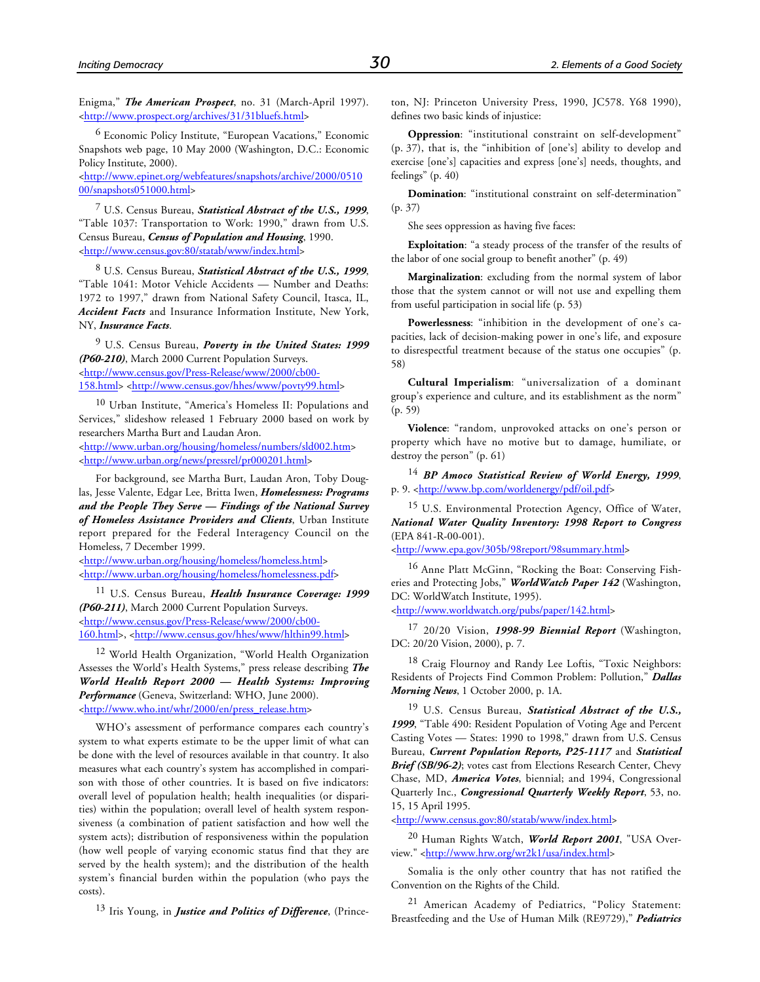Enigma," *The American Prospect*, no. 31 (March-April 1997). [<http://www.prospect.org/archives/31/31bluefs.html>](http://www.prospect.org/archives/31/31bluefs.html)

6 Economic Policy Institute, "European Vacations," Economic Snapshots web page, 10 May 2000 (Washington, D.C.: Economic Policy Institute, 2000).

[<http://www.epinet.org/webfeatures/snapshots/archive/2000/0510](http://www.epinet.org/webfeatures/snapshots/archive/2000/0510) 00/snapshots051000.html>

7 U.S. Census Bureau, *Statistical Abstract of the U.S., 1999*, "Table 1037: Transportation to Work: 1990," drawn from U.S. Census Bureau, *Census of Population and Housing*, 1990. [<http://www.census.gov:80/statab/www/index.html>](http://www.census.gov:80/statab/www/index.html)

8 U.S. Census Bureau, *Statistical Abstract of the U.S., 1999*, "Table 1041: Motor Vehicle Accidents — Number and Deaths: 1972 to 1997," drawn from National Safety Council, Itasca, IL, *Accident Facts* and Insurance Information Institute, New York, NY, *Insurance Facts*.

9 U.S. Census Bureau, *Poverty in the United States: 1999 (P60-210)*, March 2000 Current Population Surveys. [<http://www.census.gov/Press-Release/www/2000/cb00-](http://www.census.gov/Press-Release/www/2000/cb00-) 158.html> [<http://www.census.gov/hhes/www/povty99.html>](http://www.census.gov/hhes/www/povty99.html)

10 Urban Institute, "America's Homeless II: Populations and Services," slideshow released 1 February 2000 based on work by researchers Martha Burt and Laudan Aron.

[<http://www.urban.org/housing/homeless/numbers/sld002.htm>](http://www.urban.org/housing/homeless/numbers/sld002.htm) [<http://www.urban.org/news/pressrel/pr000201.html>](http://www.urban.org/news/pressrel/pr000201.html)

For background, see Martha Burt, Laudan Aron, Toby Douglas, Jesse Valente, Edgar Lee, Britta Iwen, *Homelessness: Programs and the People They Serve — Findings of the National Survey of Homeless Assistance Providers and Clients*, Urban Institute report prepared for the Federal Interagency Council on the Homeless, 7 December 1999.

[<http://www.urban.org/housing/homeless/homeless.html>](http://www.urban.org/housing/homeless/homeless.html) [<http://www.urban.org/housing/homeless/homelessness.pdf>](http://www.urban.org/housing/homeless/homelessness.pdf)

11 U.S. Census Bureau, *Health Insurance Coverage: 1999 (P60-211)*, March 2000 Current Population Surveys. [<http://www.census.gov/Press-Release/www/2000/cb00-](http://www.census.gov/Press-Release/www/2000/cb00-) 160.html>, [<http://www.census.gov/hhes/www/hlthin99.html>](http://www.census.gov/hhes/www/hlthin99.html)

12 World Health Organization, "World Health Organization Assesses the World's Health Systems," press release describing *The World Health Report 2000 — Health Systems: Improving Performance* (Geneva, Switzerland: WHO, June 2000). [<http://www.who.int/whr/2000/en/press\\_release.htm>](http://www.who.int/whr/2000/en/press_release.htm)

WHO's assessment of performance compares each country's system to what experts estimate to be the upper limit of what can be done with the level of resources available in that country. It also measures what each country's system has accomplished in comparison with those of other countries. It is based on five indicators: overall level of population health; health inequalities (or disparities) within the population; overall level of health system responsiveness (a combination of patient satisfaction and how well the system acts); distribution of responsiveness within the population (how well people of varying economic status find that they are served by the health system); and the distribution of the health system's financial burden within the population (who pays the costs).

13 Iris Young, in *Justice and Politics of Difference*, (Prince-

ton, NJ: Princeton University Press, 1990, JC578. Y68 1990), defines two basic kinds of injustice:

**Oppression**: "institutional constraint on self-development" (p. 37), that is, the "inhibition of [one's] ability to develop and exercise [one's] capacities and express [one's] needs, thoughts, and feelings" (p. 40)

**Domination**: "institutional constraint on self-determination" (p. 37)

She sees oppression as having five faces:

**Exploitation**: "a steady process of the transfer of the results of the labor of one social group to benefit another" (p. 49)

**Marginalization**: excluding from the normal system of labor those that the system cannot or will not use and expelling them from useful participation in social life (p. 53)

**Powerlessness**: "inhibition in the development of one's capacities, lack of decision-making power in one's life, and exposure to disrespectful treatment because of the status one occupies" (p. 58)

**Cultural Imperialism**: "universalization of a dominant group's experience and culture, and its establishment as the norm" (p. 59)

**Violence**: "random, unprovoked attacks on one's person or property which have no motive but to damage, humiliate, or destroy the person" (p. 61)

14 *BP Amoco Statistical Review of World Energy, 1999*, p. 9. [<http://www.bp.com/worldenergy/pdf/oil.pdf>](http://www.bp.com/worldenergy/pdf/oil.pdf)

15 U.S. Environmental Protection Agency, Office of Water, *National Water Quality Inventory: 1998 Report to Congress* (EPA 841-R-00-001).

[<http://www.epa.gov/305b/98report/98summary.html>](http://www.epa.gov/305b/98report/98summary.html)

16 Anne Platt McGinn, "Rocking the Boat: Conserving Fisheries and Protecting Jobs," *WorldWatch Paper 142* (Washington, DC: WorldWatch Institute, 1995).

[<http://www.worldwatch.org/pubs/paper/142.html>](http://www.worldwatch.org/pubs/paper/142.html)

17 20/20 Vision, *1998-99 Biennial Report* (Washington, DC: 20/20 Vision, 2000), p. 7.

18 Craig Flournoy and Randy Lee Loftis, "Toxic Neighbors: Residents of Projects Find Common Problem: Pollution," *Dallas Morning News*, 1 October 2000, p. 1A.

19 U.S. Census Bureau, *Statistical Abstract of the U.S., 1999*, "Table 490: Resident Population of Voting Age and Percent Casting Votes — States: 1990 to 1998," drawn from U.S. Census Bureau, *Current Population Reports, P25-1117* and *Statistical Brief (SB/96-2)*; votes cast from Elections Research Center, Chevy Chase, MD, *America Votes*, biennial; and 1994, Congressional Quarterly Inc., *Congressional Quarterly Weekly Report*, 53, no. 15, 15 April 1995.

[<http://www.census.gov:80/statab/www/index.html>](http://www.census.gov:80/statab/www/index.html)

20 Human Rights Watch, *World Report 2001*, "USA Over-view." [<http://www.hrw.org/wr2k1/usa/index.html>](http://www.hrw.org/wr2k1/usa/index.html)

Somalia is the only other country that has not ratified the Convention on the Rights of the Child.

21 American Academy of Pediatrics, "Policy Statement: Breastfeeding and the Use of Human Milk (RE9729)," *Pediatrics*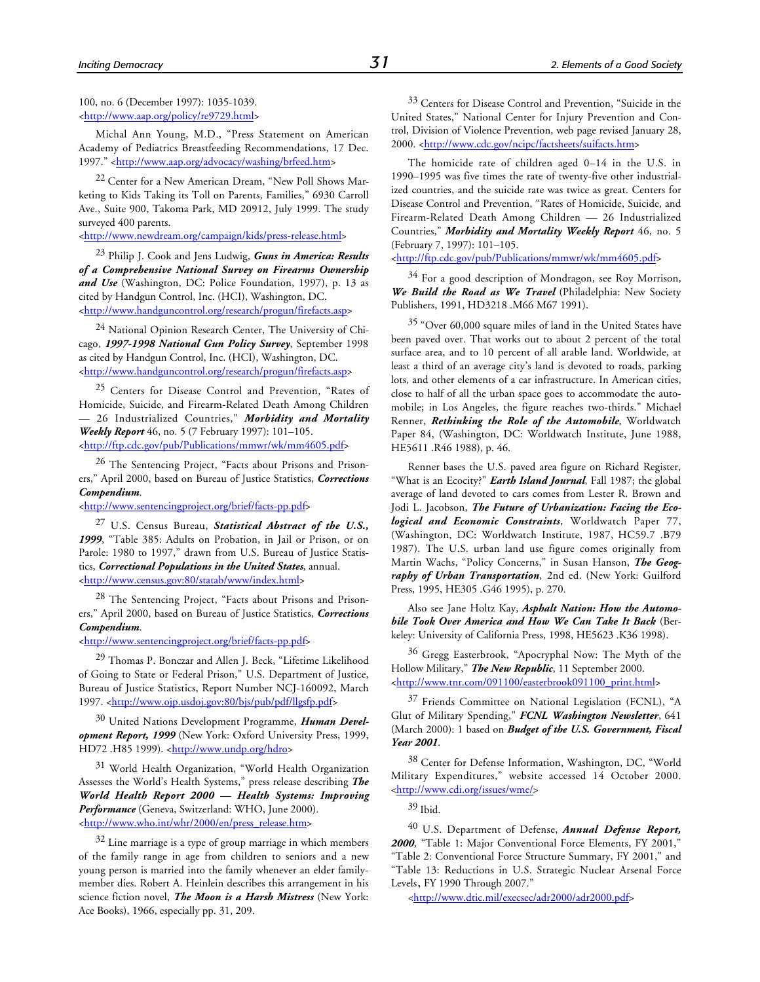100, no. 6 (December 1997): 1035-1039.

#### [<http://www.aap.org/policy/re9729.html>](http://www.aap.org/policy/re9729.html)

Michal Ann Young, M.D., "Press Statement on American Academy of Pediatrics Breastfeeding Recommendations, 17 Dec. 1997." [<http://www.aap.org/advocacy/washing/brfeed.htm>](http://www.aap.org/advocacy/washing/brfeed.htm)

22 Center for a New American Dream, "New Poll Shows Marketing to Kids Taking its Toll on Parents, Families," 6930 Carroll Ave., Suite 900, Takoma Park, MD 20912, July 1999. The study surveyed 400 parents.

[<http://www.newdream.org/campaign/kids/press-release.html>](http://www.newdream.org/campaign/kids/press-release.html)

23 Philip J. Cook and Jens Ludwig, *Guns in America: Results of a Comprehensive National Survey on Firearms Ownership and Use* (Washington, DC: Police Foundation, 1997), p. 13 as cited by Handgun Control, Inc. (HCI), Washington, DC. [<http://www.handguncontrol.org/research/progun/firefacts.asp>](http://www.handguncontrol.org/research/progun/firefacts.asp)

<sup>24</sup> National Opinion Research Center, The University of Chicago, *1997-1998 National Gun Policy Survey*, September 1998 as cited by Handgun Control, Inc. (HCI), Washington, DC. [<http://www.handguncontrol.org/research/progun/firefacts.asp>](http://www.handguncontrol.org/research/progun/firefacts.asp)

25 Centers for Disease Control and Prevention, "Rates of Homicide, Suicide, and Firearm-Related Death Among Children — 26 Industrialized Countries," *Morbidity and Mortality Weekly Report* 46, no. 5 (7 February 1997): 101–105. [<http://ftp.cdc.gov/pub/Publications/mmwr/wk/mm4605.pdf>](http://ftp.cdc.gov/pub/Publications/mmwr/wk/mm4605.pdf)

26 The Sentencing Project, "Facts about Prisons and Prisoners," April 2000, based on Bureau of Justice Statistics, *Corrections Compendium*.

[<http://www.sentencingproject.org/brief/facts-pp.pdf>](http://www.sentencingproject.org/brief/facts-pp.pdf)

27 U.S. Census Bureau, *Statistical Abstract of the U.S., 1999*, "Table 385: Adults on Probation, in Jail or Prison, or on Parole: 1980 to 1997," drawn from U.S. Bureau of Justice Statistics, *Correctional Populations in the United States*, annual. [<http://www.census.gov:80/statab/www/index.html>](http://www.census.gov:80/statab/www/index.html)

28 The Sentencing Project, "Facts about Prisons and Prisoners," April 2000, based on Bureau of Justice Statistics, *Corrections Compendium*.

[<http://www.sentencingproject.org/brief/facts-pp.pdf>](http://www.sentencingproject.org/brief/facts-pp.pdf)

29 Thomas P. Bonczar and Allen J. Beck, "Lifetime Likelihood of Going to State or Federal Prison," U.S. Department of Justice, Bureau of Justice Statistics, Report Number NCJ-160092, March 1997. [<http://www.ojp.usdoj.gov:80/bjs/pub/pdf/llgsfp.pdf>](http://www.ojp.usdoj.gov:80/bjs/pub/pdf/llgsfp.pdf)

30 United Nations Development Programme, *Human Development Report, 1999* (New York: Oxford University Press, 1999, HD72 .H85 1999). [<http://www.undp.org/hdro>](http://www.undp.org/hdro)

31 World Health Organization, "World Health Organization Assesses the World's Health Systems," press release describing *The World Health Report 2000 — Health Systems: Improving Performance* (Geneva, Switzerland: WHO, June 2000).

[<http://www.who.int/whr/2000/en/press\\_release.htm>](http://www.who.int/whr/2000/en/press_release.htm)

<sup>32</sup> Line marriage is a type of group marriage in which members of the family range in age from children to seniors and a new young person is married into the family whenever an elder familymember dies. Robert A. Heinlein describes this arrangement in his science fiction novel, *The Moon is a Harsh Mistress* (New York: Ace Books), 1966, especially pp. 31, 209.

33 Centers for Disease Control and Prevention, "Suicide in the United States," National Center for Injury Prevention and Control, Division of Violence Prevention, web page revised January 28, 2000. [<http://www.cdc.gov/ncipc/factsheets/suifacts.htm>](http://www.cdc.gov/ncipc/factsheets/suifacts.htm)

The homicide rate of children aged 0–14 in the U.S. in 1990–1995 was five times the rate of twenty-five other industrialized countries, and the suicide rate was twice as great. Centers for Disease Control and Prevention, "Rates of Homicide, Suicide, and Firearm-Related Death Among Children — 26 Industrialized Countries," *Morbidity and Mortality Weekly Report* 46, no. 5 (February 7, 1997): 101–105.

[<http://ftp.cdc.gov/pub/Publications/mmwr/wk/mm4605.pdf>](http://ftp.cdc.gov/pub/Publications/mmwr/wk/mm4605.pdf)

 $34$  For a good description of Mondragon, see Roy Morrison, *We Build the Road as We Travel* (Philadelphia: New Society Publishers, 1991, HD3218 .M66 M67 1991).

35 "Over 60,000 square miles of land in the United States have been paved over. That works out to about 2 percent of the total surface area, and to 10 percent of all arable land. Worldwide, at least a third of an average city's land is devoted to roads, parking lots, and other elements of a car infrastructure. In American cities, close to half of all the urban space goes to accommodate the automobile; in Los Angeles, the figure reaches two-thirds." Michael Renner, *Rethinking the Role of the Automobile*, Worldwatch Paper 84, (Washington, DC: Worldwatch Institute, June 1988, HE5611 .R46 1988), p. 46.

Renner bases the U.S. paved area figure on Richard Register, "What is an Ecocity?" *Earth Island Journal*, Fall 1987; the global average of land devoted to cars comes from Lester R. Brown and Jodi L. Jacobson, *The Future of Urbanization: Facing the Ecological and Economic Constraints*, Worldwatch Paper 77, (Washington, DC: Worldwatch Institute, 1987, HC59.7 .B79 1987). The U.S. urban land use figure comes originally from Martin Wachs, "Policy Concerns," in Susan Hanson, *The Geography of Urban Transportation*, 2nd ed. (New York: Guilford Press, 1995, HE305 .G46 1995), p. 270.

Also see Jane Holtz Kay, *Asphalt Nation: How the Automobile Took Over America and How We Can Take It Back* (Berkeley: University of California Press, 1998, HE5623 .K36 1998).

36 Gregg Easterbrook, "Apocryphal Now: The Myth of the Hollow Military," *The New Republic*, 11 September 2000. [<http://www.tnr.com/091100/easterbrook091100\\_print.html>](http://www.tnr.com/091100/easterbrook091100_print.html)

37 Friends Committee on National Legislation (FCNL), "A Glut of Military Spending," *FCNL Washington Newsletter*, 641 (March 2000): 1 based on *Budget of the U.S. Government, Fiscal Year 2001*.

38 Center for Defense Information, Washington, DC, "World Military Expenditures," website accessed 14 October 2000. [<http://www.cdi.org/issues/wme/>](http://www.cdi.org/issues/wme/)

39 Ibid.

40 U.S. Department of Defense, *Annual Defense Report, 2000*, "Table 1: Major Conventional Force Elements, FY 2001," "Table 2: Conventional Force Structure Summary, FY 2001," and "Table 13: Reductions in U.S. Strategic Nuclear Arsenal Force Levels, FY 1990 Through 2007."

[<http://www.dtic.mil/execsec/adr2000/adr2000.pdf>](http://www.dtic.mil/execsec/adr2000/adr2000.pdf>)